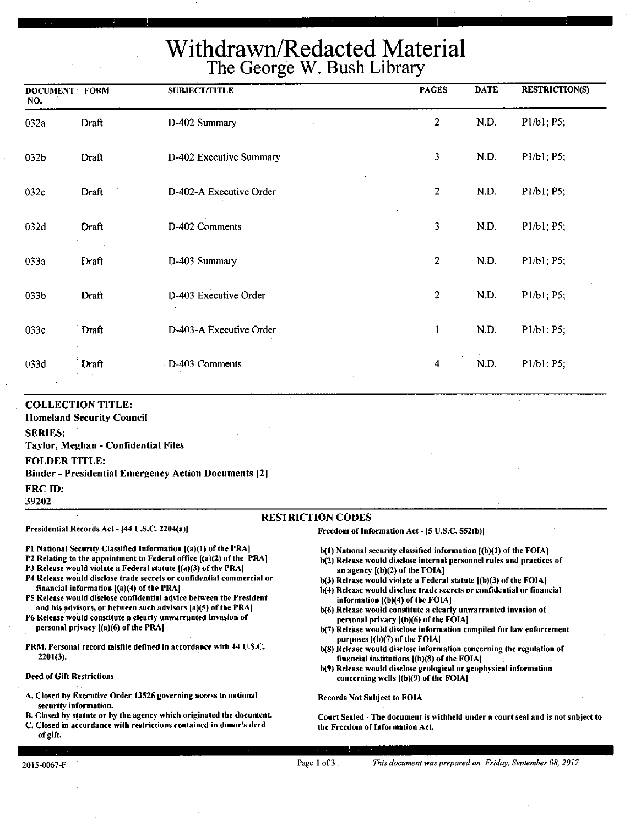# Withdrawn/Redacted Material The George W. Bush Library

| <b>DOCUMENT FORM</b><br>NO.            |                                                                                                     | <b>SUBJECT/TITLE</b>                                        | <b>PAGES</b>   | <b>DATE</b> | <b>RESTRICTION(S)</b>                             |
|----------------------------------------|-----------------------------------------------------------------------------------------------------|-------------------------------------------------------------|----------------|-------------|---------------------------------------------------|
| 032a                                   | Draft                                                                                               | D-402 Summary                                               | $\overline{2}$ | N.D.        | P1/b1; P5;                                        |
| 032b                                   | Draft                                                                                               | D-402 Executive Summary                                     | 3              | N.D.        | P1/b1; P5;                                        |
| 032c                                   | Draft                                                                                               | D-402-A Executive Order                                     | $\overline{2}$ | N.D.        | P1/b1; P5;                                        |
| 032d                                   | Draft                                                                                               | D-402 Comments                                              | 3              | N.D.        | P1/b1; P5;                                        |
| 033a                                   | Draft                                                                                               | D-403 Summary                                               | $\overline{c}$ | N.D.        | P1/b1; P5;                                        |
| 033b                                   | Draft                                                                                               | D-403 Executive Order                                       | $\overline{a}$ | N.D.        | P <sub>1</sub> /b <sub>1</sub> ; P <sub>5</sub> ; |
| 033c                                   | Draft                                                                                               | D-403-A Executive Order                                     | 1              | N.D.        | P1/b1; P5;                                        |
| 033d                                   | <b>Draft</b>                                                                                        | D-403 Comments                                              | 4              | N.D.        | P1/b1; P5;                                        |
| <b>SERIES:</b><br><b>FOLDER TITLE:</b> | <b>COLLECTION TITLE:</b><br><b>Homeland Security Council</b><br>Taylor, Meghan - Confidential Files | <b>Binder - Presidential Emergency Action Documents [2]</b> |                |             |                                                   |
| <b>FRC ID:</b><br>39202                |                                                                                                     |                                                             |                |             |                                                   |

#### RESTRICTION CODES

#### Presidential Records Act - [44 U.S.C. 2204(a)]

financial information ((a)(4) of the PRA)

personal privacy [(a)(6) of the PRAJ

P1 National Security Classified Information [(a)(1) of the PRA] P2 Relating to the appointment to Federal office ((a)(2) of the PRA) P3 Release would violate a Federal statute ((a)(3) of the PRA) P4 Release would disclose trade secrets or confidential commercial or

PS Release would disclose confidential advice between the President and his advisors, or between such advisors [a)(5) of the PRAJ P6 Release' would constitute a clearly unwarranted invasion of

PRM. Personal record misfile defined in accordance with 44 U.S.C.

A. Closed by Executive Order 13526 governing access to national

B. Closed by statute or by the agency which originated the document. C. Closed in accordance with restrictions contained in donor's deed

Freedom of Information Act - (5 U.S.C. 552(b)I

- b(l) National security classified information [(b)(l) of the FOIA]
- b(2) Release would disclose internal personnel rules and practices of an agency ((b)(2) of the **FOIAI**
- b(3) Release would violate a Federal statute l(b)(3) of the FOIA)
- b(4) Release would disclose trade secrets or confidential or financial information ((b)(4) of the FOIAI
- b(6) Release would constitute a clearly unwarranted invasion of personal privacy ((b)(6) of the FOIA)
- b(7) Release would disclose information compiled for law enforcement purposes  $|(b)(7)$  of the FOIA
- b(8) Release would disclose information concerning the regulation of financial institutions ((b)(8) of the FOIA)
- b(9) Release would disclose geological or geophysical information concerning wells ((b)(9) of the FOIAJ

Records Not Subject to FOIA

Court Sealed - The document is withheld under a court seal and is not subject to the Freedom of Information Act.

of gift.

2201(3).

Deed of Gift Restrictions

security information.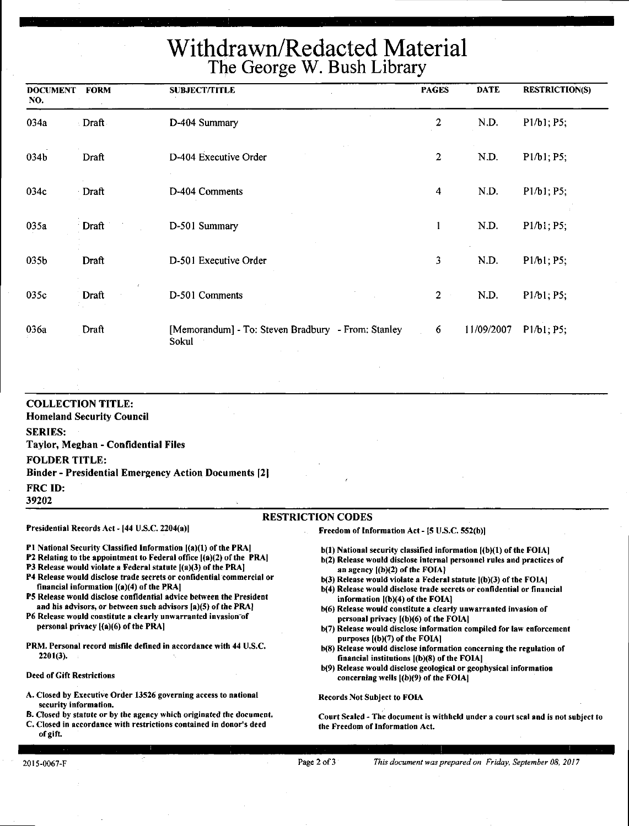# **Withdrawn/Redacted Material The George W. Bush Library**

| <b>DOCUMENT</b><br>NO. | <b>FORM</b> | <b>SUBJECT/TITLE</b>                                        | <b>PAGES</b>                    | <b>DATE</b> | <b>RESTRICTION(S)</b>                             |
|------------------------|-------------|-------------------------------------------------------------|---------------------------------|-------------|---------------------------------------------------|
| 034a                   | Draft       | D-404 Summary                                               | $\overline{c}$                  | N.D.        | P1/b1; P5;                                        |
| 034 <sub>b</sub>       | Draft       | D-404 Executive Order                                       | $\overline{2}$                  | N.D.        | P1/b1; P5;                                        |
| 034c                   | Draft       | D-404 Comments                                              | 4                               | N.D.        | P1/b1; P5;                                        |
| 035a                   | Draft       | D-501 Summary                                               | 1                               | N.D.        | P1/b1; P5;                                        |
| 035b                   | Draft       | D-501 Executive Order                                       | $\overline{\mathbf{3}}$         | N.D.        | P1/b1; P5;                                        |
| 035c                   | ÷.<br>Draft | D-501 Comments                                              | $\overline{2}$<br>$\sim$ $\sim$ | N.D.        | P <sub>1</sub> /b <sub>1</sub> ; P <sub>5</sub> ; |
| 036a                   | Draft       | [Memorandum] - To: Steven Bradbury - From: Stanley<br>Sokul | 6                               | 11/09/2007  | P1/b1; P5;                                        |

**COLLECTION TITLE: Homeland Security Council SERIES: Taylor, Meghan** - **Confidential Files FOLDER TITLE: Binder** - **Presidential Emergency Action Documents [2]**  FRC ID: **39202 RESTRICTION** CODES Presidential Records Act - (44 U.S.C. 2204(a)) Freedom of Information Act - (5 U.S.C. 552(b))

financial information ((a)(4) of the PRA)

personal privacy [(a)(6) of the PRA]

P2 Relating to the appointment to Federal office  $[(a)(2)$  of the PRA] P3 Release would violate a Federal statute  $|(a)(3)$  of the PRA] P4 Release would disclose trade secrets or confidential commercial or

PS Release would disclose confidential advice between the President and his advisors, or between such advisors (a)(S) of the PRAJ P6 Release would constitute a clearly unwarranted invasion-of

PRM. Personal record misfile defined in accordance with 44 U.S.C.

A. Closed by Executive Order 13526 governing access to national

B. Closed by statute or by the agency which originated the document. C. Closed in accordance with restrictions contained in donor's deed

Pl National Security Classified Information ((a)(l) of the PRA)

- b(l) National security classified information ((b)(l) of the FOIA] b(2) Release would disclose internal personnel rules and practices of an agency  $[(b)(2)$  of the FOIA $]$
- $b(3)$  Release would violate a Federal statute  $[(b)(3)$  of the FOIA]
- b(4) Release would disclose trade secrets or confidential or financial information ((b)(4) of the FOIA]
- b(6) Release would constitute a clearly unwarranted invasion of personal privacy ((b)(6) of the FOIAI
- b(7) Release would disclose information compiled for law enforcement purposes ((b)(7) of the FOIAI
- b(8) Release would disclose information concerning the regulation of financial institutions ((b)(8) of the FOIA)
- b(9) Release would disclose geological or geophysical information concerning wells [(b)(9) of the FOIA]

Records Not Subject to FOIA

Court Sealed - The document is withheld under a court seal and is not subject to the Freedom of Information Act.

of gift.

220t(3),

Deed of Gift Restrictions

security information,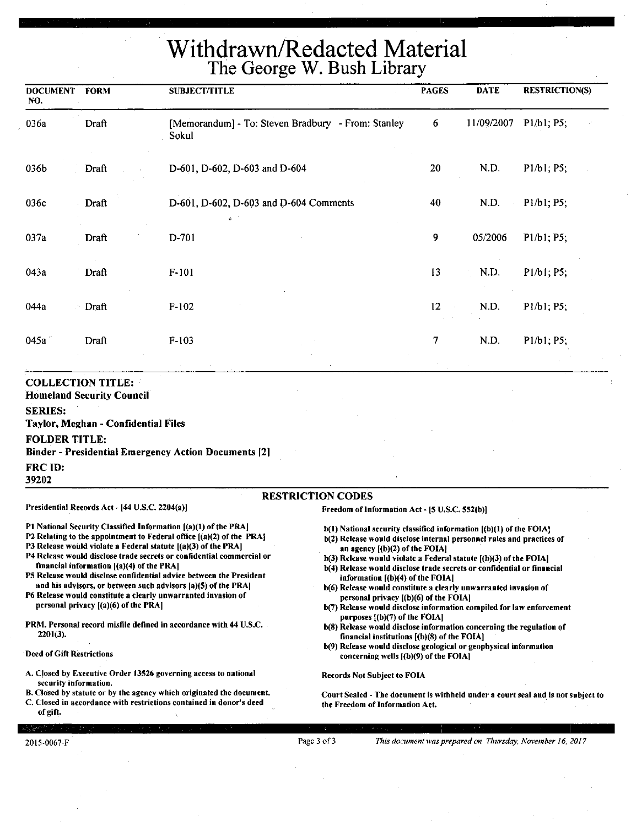### **Withdrawn/Redacted Material The George W. Bush Library**

| <b>DOCUMENT</b><br>NO. | <b>FORM</b>  | <b>SUBJECT/TITLE</b>                                        | <b>PAGES</b> | <b>DATE</b> | <b>RESTRICTION(S)</b> |
|------------------------|--------------|-------------------------------------------------------------|--------------|-------------|-----------------------|
| 036a                   | Draft        | [Memorandum] - To: Steven Bradbury - From: Stanley<br>Sokul | 6            | 11/09/2007  | P1/b1; P5;            |
| 036b                   | Draft        | D-601, D-602, D-603 and D-604                               | 20           | N.D.        | P1/b1; P5;            |
| 036c                   | Draft        | D-601, D-602, D-603 and D-604 Comments<br>$\bullet$         | 40           | N.D.        | P1/b1; P5;            |
| 037a                   | Draft        | D-701                                                       | 9            | 05/2006     | P1/b1; P5;            |
| 043a                   | Draft        | $F-101$                                                     | 13           | N.D.        | P1/b1; P5;            |
| 044a                   | <b>Draft</b> | $F-102$                                                     | 12           | N.D.        | P1/b1; P5;            |
| 045a                   | Draft        | $F-103$                                                     | 7            | N.D.        | P1/b1; P5;            |
|                        |              |                                                             |              |             |                       |

#### **COLLECTION TITLE:**

**Homeland Security Council** 

**SERIES:** 

**Taylor, Meghan** - **Confidential Files** 

#### **FOLDER TITLE:**

**Binder** - **Presidential Emergency Action Documents [21** 

**FRCID:** 

39202

#### **RESTRICTION CODES**

Presidential Records Act - [44 U.S.C. 2204(a)]

Pl National Security Classified Information ((a)(l) of the PRA)

- P2 Relating to the appointment to Federal office [(a)(2) of the PRA]
- P3 Release would violate a Federal statute  $[(a)(3)$  of the PRA]
- P4 Release would disclose trade secrets or confidential commercial or financial information [(a)(4) of the PRA)
- PS Release would disclose confidential advice between the President and his advisors, or between such advisors (a)(S) of the PRA)

P6 Release would constitute a clearly unwarranted invasion of personal privacy [(a)(6) of the PRA)

PRM. Personal record misfile defined in accordance with 44 U.S.C. 2201(3).

Deed of Gift Restrictions

- A. Closed by Executive Order 13526 governing access to national security information.
- B. Closed by statute or by the agency which originated the document.

C. Closed in accordance with restrictions contained in donor's deed of gift.

Freedom of Information Act - (5 U.S.C. S52(b))

- $b(1)$  National security classified information  $[(b)(1)$  of the FOIA]
- b(2) Release would disclose internal personnel rules and practices of **an** agency [(b)(2) of the FOIAI
- b(3) Release would violate a Federal statute [(b)(3) of the FOIA)
- b(4) Release would disclose trade secrets or confidential or financial information [(b)(4) of the FOIAI
- b(6) Release would constitute a clearly unwarranted invasion of personal privacy ((b)(6) of the FOIA]
- b(7) Release would disclose information compiled for law enforcement purposes  $[(b)(7)$  of the FOIA]
- b(8) Release would disclose information concerning the regulation of financial institutions [(b)(8) of the FOIA)
- b(9) Release would disclose geological or geophysical information concerning wells ((b)(9) of the FOIA)

Records Not Subject to FOIA

Court Sealed - The document is withheld under a court seal and\_ is not subject to the Freedom of Information Act.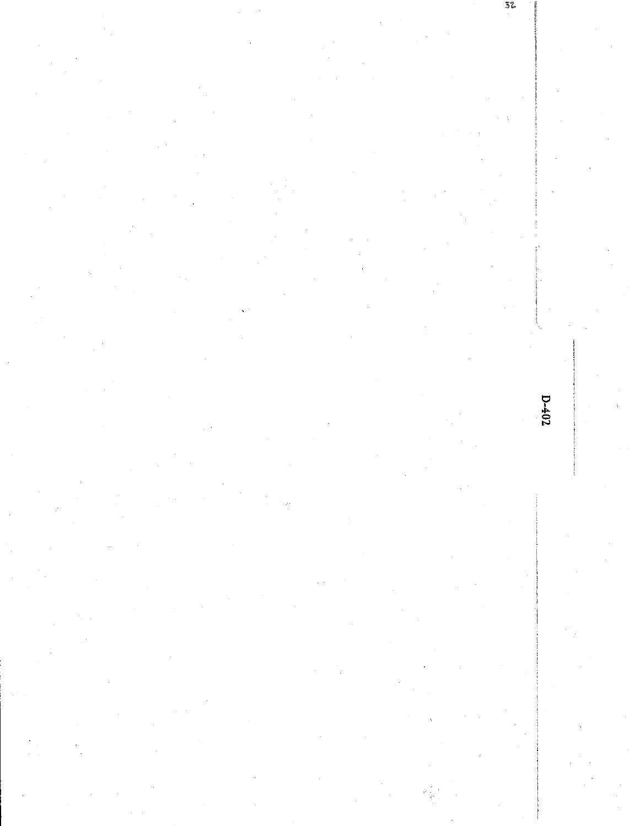$3\%$ 

 $D-402$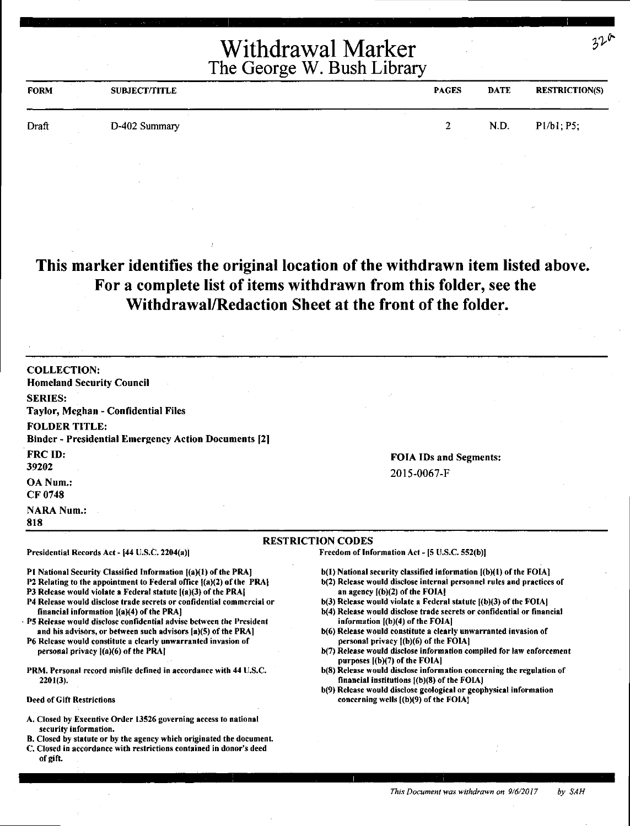| <b>FORM</b> | <b>SUBJECT/TITLE</b> | <b>PAGES</b> | <b>DATE</b> | <b>RESTRICTION(S)</b> |
|-------------|----------------------|--------------|-------------|-----------------------|
| Draft       | D-402 Summary        |              | N.D.        | Pl/b1; P5;            |

#### **This marker identifies the original location of the withdrawn item listed above. For a complete list of items withdrawn from this folder, see the Withdrawal/Redaction Sheet at the front of the folder.**

| <b>COLLECTION:</b><br><b>Homeland Security Council</b>                                                                                                                                                                                                                                                                                                                                                                                                                                                                                                                                                                                                 |                                                                                                                                                                                                                                                                                                                                                                                                                                                                                                                                                                                                                                                                             |
|--------------------------------------------------------------------------------------------------------------------------------------------------------------------------------------------------------------------------------------------------------------------------------------------------------------------------------------------------------------------------------------------------------------------------------------------------------------------------------------------------------------------------------------------------------------------------------------------------------------------------------------------------------|-----------------------------------------------------------------------------------------------------------------------------------------------------------------------------------------------------------------------------------------------------------------------------------------------------------------------------------------------------------------------------------------------------------------------------------------------------------------------------------------------------------------------------------------------------------------------------------------------------------------------------------------------------------------------------|
| <b>SERIES:</b><br><b>Taylor, Meghan - Confidential Files</b>                                                                                                                                                                                                                                                                                                                                                                                                                                                                                                                                                                                           |                                                                                                                                                                                                                                                                                                                                                                                                                                                                                                                                                                                                                                                                             |
| <b>FOLDER TITLE:</b><br><b>Binder - Presidential Emergency Action Documents [2]</b>                                                                                                                                                                                                                                                                                                                                                                                                                                                                                                                                                                    |                                                                                                                                                                                                                                                                                                                                                                                                                                                                                                                                                                                                                                                                             |
| <b>FRC ID:</b><br>39202                                                                                                                                                                                                                                                                                                                                                                                                                                                                                                                                                                                                                                | <b>FOIA IDs and Segments:</b>                                                                                                                                                                                                                                                                                                                                                                                                                                                                                                                                                                                                                                               |
| OA Num.:<br>CF 0748                                                                                                                                                                                                                                                                                                                                                                                                                                                                                                                                                                                                                                    | 2015-0067-F                                                                                                                                                                                                                                                                                                                                                                                                                                                                                                                                                                                                                                                                 |
| <b>NARA Num.:</b><br>818                                                                                                                                                                                                                                                                                                                                                                                                                                                                                                                                                                                                                               |                                                                                                                                                                                                                                                                                                                                                                                                                                                                                                                                                                                                                                                                             |
|                                                                                                                                                                                                                                                                                                                                                                                                                                                                                                                                                                                                                                                        | <b>RESTRICTION CODES</b>                                                                                                                                                                                                                                                                                                                                                                                                                                                                                                                                                                                                                                                    |
| Presidential Records Act - [44 U.S.C. 2204(a)]                                                                                                                                                                                                                                                                                                                                                                                                                                                                                                                                                                                                         | Freedom of Information Act - [5 U.S.C. 552(b)]                                                                                                                                                                                                                                                                                                                                                                                                                                                                                                                                                                                                                              |
| P1 National Security Classified Information [(a)(1) of the PRA]<br>P2 Relating to the appointment to Federal office {(a)(2) of the PRA}<br>P3 Release would violate a Federal statute [(a)(3) of the PRA]<br>P4 Release would disclose trade secrets or confidential commercial or<br>financial information (a)(4) of the PRA]<br>P5 Release would disclose confidential advise between the President<br>and his advisors, or between such advisors [a](5) of the PRA]<br>P6 Release would constitute a clearly unwarranted invasion of<br>personal privacy $[(a)(6)$ of the PRA]<br>PRM. Personal record misfile defined in accordance with 44 U.S.C. | $b(1)$ National security classified information $(a)(1)$ of the FOIA]<br>b(2) Release would disclose internal personnel rules and practices of<br>an agency $[(b)(2)$ of the FOIA!<br>$b(3)$ Release would violate a Federal statute $[(b)(3)$ of the FOIA]<br>b(4) Release would disclose trade secrets or confidential or financial<br>information $[(b)(4)$ of the FOIA]<br>b(6) Release would constitute a clearly unwarranted invasion of<br>personal privacy $(1)(6)$ of the FOIA]<br>b(7) Release would disclose information compiled for law enforcement<br>purposes $[(b)(7)$ of the FOIA]<br>b(8) Release would disclose information concerning the regulation of |
| $2201(3)$ .                                                                                                                                                                                                                                                                                                                                                                                                                                                                                                                                                                                                                                            | financial institutions [(b)(8) of the FOIA]<br>b(9) Release would disclose geological or geophysical information                                                                                                                                                                                                                                                                                                                                                                                                                                                                                                                                                            |
| <b>Deed of Gift Restrictions</b>                                                                                                                                                                                                                                                                                                                                                                                                                                                                                                                                                                                                                       | concerning wells [(b)(9) of the FOIA]                                                                                                                                                                                                                                                                                                                                                                                                                                                                                                                                                                                                                                       |
| A. Closed by Executive Order 13526 governing access to national<br>security information.<br>B. Closed by statute or by the agency which originated the document.<br>C. Closed in accordance with restrictions contained in donor's deed<br>of gift.                                                                                                                                                                                                                                                                                                                                                                                                    |                                                                                                                                                                                                                                                                                                                                                                                                                                                                                                                                                                                                                                                                             |

 $32^\circ$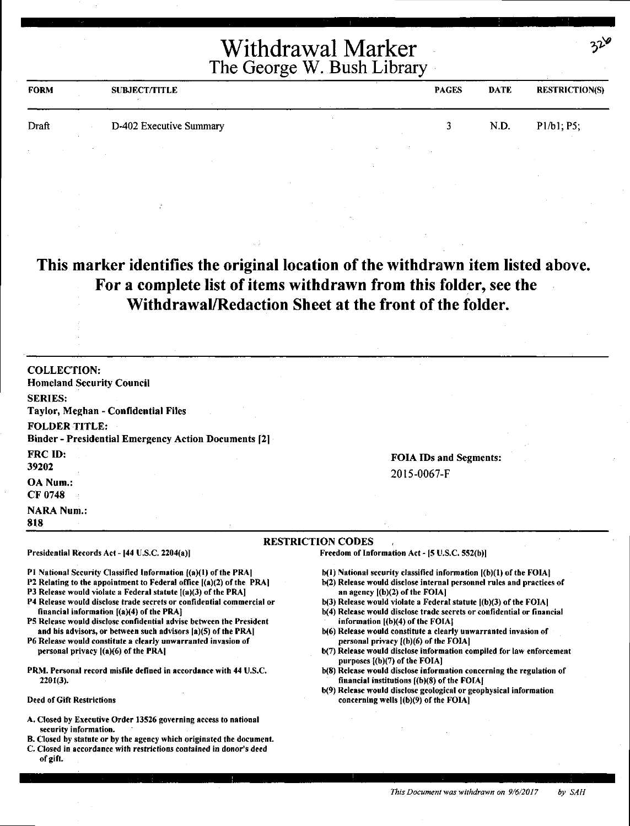| Withdrawal Marker          |  |
|----------------------------|--|
| The George W. Bush Library |  |

| <b>FORM</b> | <b>SUBJECT/TITLE</b>    | <b>PAGES</b> | DATE | <b>RESTRICTION(S)</b> |
|-------------|-------------------------|--------------|------|-----------------------|
| Draft       | D-402 Executive Summary |              | N.D. | P1/b1. P5;            |
|             |                         |              |      |                       |

#### **This marker identifies the original location of the withdrawn item listed above. For a complete list of items withdrawn from this folder, see the Withdrawal/Redaction Sheet at the front of the folder.**

COLLECTION: Homeland Security Council SERIES: Taylor, Meghan - Confidential Files FOLDER TITLE: Binder - Presidential Emergency Action Documents [2] FRC ID: 39202 OA Num.: CF0748 **NARA Num.:** 818 FOIA IDs and Segments: 2015-0067-F RESTRICTION CODES Presidential Records Act - [44 U.S.C. 2204(a)] Freedom of Information Act - [5 U.S.C. 552(b)]

Pl National Security Classified Information ((a)(I) of the PRA)

- P2 Relating to the appointment to Federal office ((a)(2) of the PRA)
- P3 Release would violate a Federal statute  $[(a)(3)$  of the PRA]
- P4 Release would disclose trade secrets or confidential commercial or financial information [(a)(4) of the PRA]
- PS Release would disclose confidential advise between the President and his advisors, or between such advisors (a)(S) of the PRA)
- P6 Release would constitute a clearly unwarranted invasion of personal privacy ((a)(6) of the PRAJ
- PRM. Personal record misfile defined in accordance with 44 U.S.C. 2201(3).
- Deed of Gift Restrictions
- A. Closed by Executive Order 13526 governing access to national security information.
- B. Closed by statute or by the agency which originated the document.
- C. Closed in accordance with restrictions contained in donor's deed of gift.
- b(l) National security classified information ((b)(l) of the FOIA)
- b(2) Release would disclose internal personnel rules and practices of an agency [(b)(2) of the FOIA]
- $b(3)$  Release would violate a Federal statute  $[(b)(3)$  of the FOIA]
- b(4) Release would disclose trade secrets or confidential or financial information ((b)(4) of the FOIAJ
- b(6) Release would constitute a clearly unwarranted invasion of personal privacy l(b)(6) of the FOIA)
- b(7) Release would disclose information compiled for law enforcement purposes ((b)(7) of the FOIAI
- b(8) Release would disclose information concerning the regulation of financial institutions ((b)(8) of the FOIAJ
- b(9) Release would disclose geological or geophysical information concerning wells f(b)(9) of the FOIA]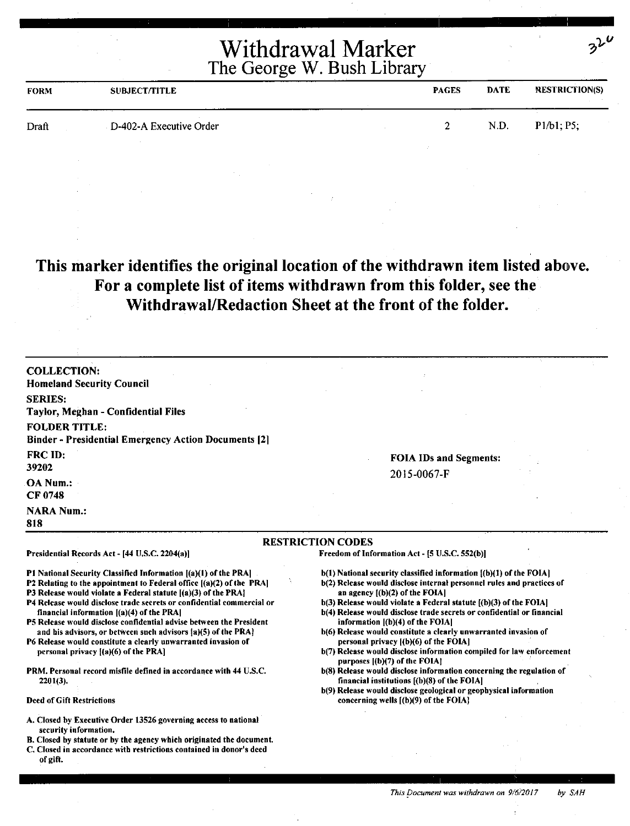| <b>FORM</b> | <b>SUBJECT/TITLE</b>    | <b>PAGES</b> | <b>DATE</b> | <b>RESTRICTION(S)</b> |
|-------------|-------------------------|--------------|-------------|-----------------------|
| Draft       | D-402-A Executive Order |              | N.D.        | P1/b1; P5;            |
|             |                         |              |             |                       |

### **This marker identifies the original location of the withdrawn item listed above. For a complete list of items withdrawn from this folder, see the Withdrawal/Redaction Sheet at the front of the folder.**

| <b>COLLECTION:</b><br><b>Homeland Security Council</b>                                                                                                                                                                                                                                                                                                                                                                                                                                                                                                                                                                                                                                                    |                                                                                                                                                                                                                                                                                                                                                                                                                                                                                                                                                                                                                                                                                                                                                                                                                                   |
|-----------------------------------------------------------------------------------------------------------------------------------------------------------------------------------------------------------------------------------------------------------------------------------------------------------------------------------------------------------------------------------------------------------------------------------------------------------------------------------------------------------------------------------------------------------------------------------------------------------------------------------------------------------------------------------------------------------|-----------------------------------------------------------------------------------------------------------------------------------------------------------------------------------------------------------------------------------------------------------------------------------------------------------------------------------------------------------------------------------------------------------------------------------------------------------------------------------------------------------------------------------------------------------------------------------------------------------------------------------------------------------------------------------------------------------------------------------------------------------------------------------------------------------------------------------|
| <b>SERIES:</b>                                                                                                                                                                                                                                                                                                                                                                                                                                                                                                                                                                                                                                                                                            |                                                                                                                                                                                                                                                                                                                                                                                                                                                                                                                                                                                                                                                                                                                                                                                                                                   |
| <b>Taylor, Meghan - Confidential Files</b>                                                                                                                                                                                                                                                                                                                                                                                                                                                                                                                                                                                                                                                                |                                                                                                                                                                                                                                                                                                                                                                                                                                                                                                                                                                                                                                                                                                                                                                                                                                   |
| <b>FOLDER TITLE:</b>                                                                                                                                                                                                                                                                                                                                                                                                                                                                                                                                                                                                                                                                                      |                                                                                                                                                                                                                                                                                                                                                                                                                                                                                                                                                                                                                                                                                                                                                                                                                                   |
| <b>Binder - Presidential Emergency Action Documents [2]</b>                                                                                                                                                                                                                                                                                                                                                                                                                                                                                                                                                                                                                                               |                                                                                                                                                                                                                                                                                                                                                                                                                                                                                                                                                                                                                                                                                                                                                                                                                                   |
| FRC ID:                                                                                                                                                                                                                                                                                                                                                                                                                                                                                                                                                                                                                                                                                                   | <b>FOIA IDs and Segments:</b>                                                                                                                                                                                                                                                                                                                                                                                                                                                                                                                                                                                                                                                                                                                                                                                                     |
| 39202                                                                                                                                                                                                                                                                                                                                                                                                                                                                                                                                                                                                                                                                                                     | 2015-0067-F                                                                                                                                                                                                                                                                                                                                                                                                                                                                                                                                                                                                                                                                                                                                                                                                                       |
| OA Num.:                                                                                                                                                                                                                                                                                                                                                                                                                                                                                                                                                                                                                                                                                                  |                                                                                                                                                                                                                                                                                                                                                                                                                                                                                                                                                                                                                                                                                                                                                                                                                                   |
| <b>CF 0748</b>                                                                                                                                                                                                                                                                                                                                                                                                                                                                                                                                                                                                                                                                                            |                                                                                                                                                                                                                                                                                                                                                                                                                                                                                                                                                                                                                                                                                                                                                                                                                                   |
| <b>NARA Num.:</b><br>818                                                                                                                                                                                                                                                                                                                                                                                                                                                                                                                                                                                                                                                                                  |                                                                                                                                                                                                                                                                                                                                                                                                                                                                                                                                                                                                                                                                                                                                                                                                                                   |
|                                                                                                                                                                                                                                                                                                                                                                                                                                                                                                                                                                                                                                                                                                           | <b>RESTRICTION CODES</b>                                                                                                                                                                                                                                                                                                                                                                                                                                                                                                                                                                                                                                                                                                                                                                                                          |
| Presidential Records Act - [44 U.S.C. 2204(a)]                                                                                                                                                                                                                                                                                                                                                                                                                                                                                                                                                                                                                                                            | Freedom of Information Act - [5 U.S.C. 552(b)]                                                                                                                                                                                                                                                                                                                                                                                                                                                                                                                                                                                                                                                                                                                                                                                    |
| P1 National Security Classified Information [(a)(1) of the PRA]<br>P2 Relating to the appointment to Federal office ((a)(2) of the PRA]<br>P3 Release would violate a Federal statute [(a)(3) of the PRA]<br>P4 Release would disclose trade secrets or confidential commercial or<br>financial information $[(a)(4)$ of the PRA<br>P5 Release would disclose confidential advise between the President<br>and his advisors, or between such advisors (a)(5) of the PRA)<br>P6 Release would constitute a clearly unwarranted invasion of<br>personal privacy {(a)(6) of the PRA]<br>PRM. Personal record misfile defined in accordance with 44 U.S.C.<br>$2201(3)$ .<br><b>Deed of Gift Restrictions</b> | b(1) National security classified information {(b)(1) of the FOIA]<br>b(2) Release would disclose internal personnel rules and practices of<br>an agency [(b)(2) of the FOIA]<br>b(3) Release would violate a Federal statute ((b)(3) of the FOIA]<br>b(4) Release would disclose trade secrets or confidential or financial<br>information $[(b)(4)$ of the FOIA]<br>b(6) Release would constitute a clearly unwarranted invasion of<br>personal privacy [(b)(6) of the FOIA]<br>b(7) Release would disclose information compiled for law enforcement<br>purposes $[(b)(7)$ of the FOIA?<br>b(8) Release would disclose information concerning the regulation of<br>financial institutions $[(b)(8)$ of the FOIA]<br>b(9) Release would disclose geological or geophysical information<br>concerning wells $(6)(9)$ of the FOIA. |
| A. Closed by Executive Order 13526 governing access to national<br>security information.<br>B. Closed by statute or by the agency which originated the document.<br>C. Closed in accordance with restrictions contained in donor's deed<br>of gift.                                                                                                                                                                                                                                                                                                                                                                                                                                                       |                                                                                                                                                                                                                                                                                                                                                                                                                                                                                                                                                                                                                                                                                                                                                                                                                                   |

 $2^{\mathcal{V}}$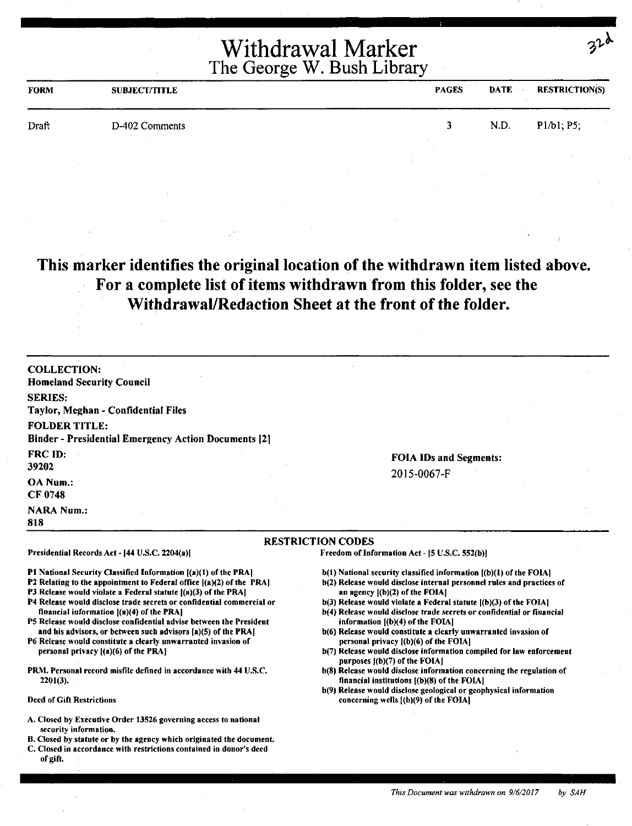| <b>FORM</b> | <b>SUBJECT/TITLE</b> | <b>PAGES</b> | <b>DATE</b> | <b>RESTRICTION(S)</b> |
|-------------|----------------------|--------------|-------------|-----------------------|
| Draft       | D-402 Comments       |              | N.D.        | P1/b1, P5;            |
|             |                      |              |             |                       |

#### **This marker identifies the original location of the withdrawn item listed above. For a complete list of items withdrawn from this folder, see the Withdrawal/Redaction Sheet at the front of the folder.**

COLLECTION: Homeland Security Council SERIES: Taylor, Meghan - Confidential Files FOLDER TITLE: Binder - Presidential Emergency Action Documents (21 FRC ID: 39202 OA Num.: CF0748 **NARA Num.:** 

Presidential Records Act - (44 U.S.C. 2204(a))

financial information ((a)(4) of the PRA]

personal privacy ((a)(6) of the PRA)

#### 818

2201(3).

Deed of Gift Restrictions

#### RESTRICTION CODES

Freedom of Information Act - [5 U.S.C. 552(b)]

- b(l) National security classified information ((b)(l) of the FOlA)
- b(2) Release would disclose internal personnel rules and practices of an agency  $[(b)(2)$  of the FOIA]

FOIA IDs and Segments:

2015-0067-F

- b(3) Release would violate a Federal statute [(b)(3) of the FOIA] b(4) Release would disclose trade secrets or confidential or financial
- information [(b)(4) of the FOIA)
- b(6) Release would constitute a clearly unwarranted invasion of personal privacy ((b)(6) of the FOIA)
- b(7) Release would disclose information compiled for law enforcement purposes [(b)(7) of the FOIA]
- b(S) Release would disclose information concerning the regulation of financial institutions [(b)(S) of the FOIAJ
- b(9) Release would disclose geological or geophysical information concerning wells [(b)(9) of the FOIA)
- A. Closed by Executive Order 13526 governing access to national security information.

Pl National Security Classified Information ((a)(l) of the PRA) P2 Relating to the appointment to Federal office  $[(a)(2)$  of the PRA] P3 Release would violate a Federal statute  $[(a)(3)$  of the PRA] P4 Release would disclose trade secrets or confidential commercial or

PS Release would disclose confidential advise between the President and his advisors, or between such advisors  $[a](5)$  of the PRA] P6 Release would constitute a clearly unwarranted invasion of

PRM. Personal record misfile defined in accordance with 44 U.S.C.

- B. Closed by statute or by the agency which originated the document.
- C. Closed in accordance with restrictions contained in donor's deed of gift.

*This Document was withdrawn on 9/6/2017 by SAH*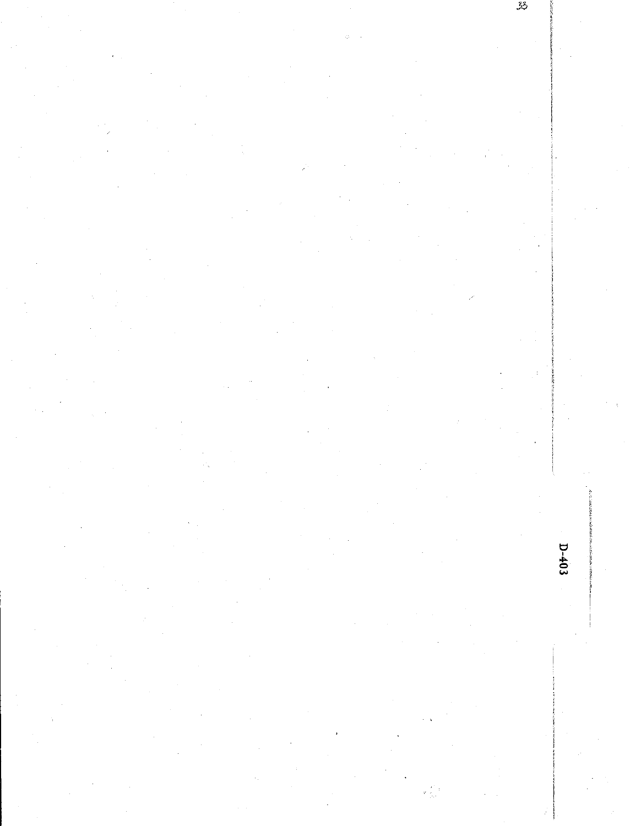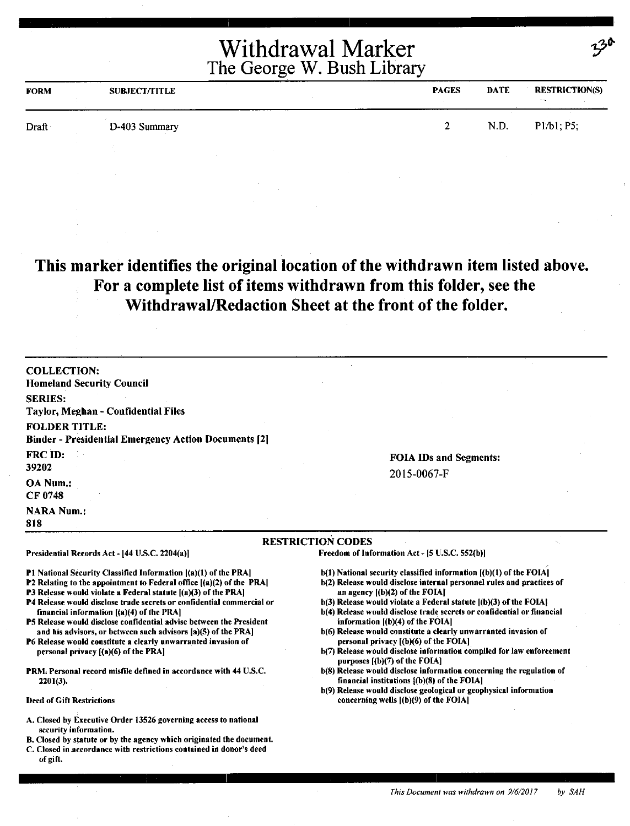| <b>FORM</b> | <b>SUBJECT/TITLE</b> | <b>PAGES</b> | <b>DATE</b> | <b>RESTRICTION(S)</b><br><b>Change</b> |
|-------------|----------------------|--------------|-------------|----------------------------------------|
| Draft       | D-403 Summary        |              | N.D.        | P1/b1; P5;                             |
|             |                      |              |             |                                        |

### **This marker identifies the original location of the withdrawn item listed above. For a complete list of items withdrawn from this folder, see the Withdrawal/Redaction Sheet at the front of** the **folder.**

| <b>COLLECTION:</b><br><b>Homeland Security Council</b>                                                                                                                                                                                                                                                                                                                                                                                                                                                                                                                                                                                                                |                                                                                                                                                                                                                                                                                                                                                                                                                                                                                                                                                                                                                                                                      |
|-----------------------------------------------------------------------------------------------------------------------------------------------------------------------------------------------------------------------------------------------------------------------------------------------------------------------------------------------------------------------------------------------------------------------------------------------------------------------------------------------------------------------------------------------------------------------------------------------------------------------------------------------------------------------|----------------------------------------------------------------------------------------------------------------------------------------------------------------------------------------------------------------------------------------------------------------------------------------------------------------------------------------------------------------------------------------------------------------------------------------------------------------------------------------------------------------------------------------------------------------------------------------------------------------------------------------------------------------------|
| <b>SERIES:</b><br>Taylor, Meghan - Confidential Files                                                                                                                                                                                                                                                                                                                                                                                                                                                                                                                                                                                                                 |                                                                                                                                                                                                                                                                                                                                                                                                                                                                                                                                                                                                                                                                      |
| <b>FOLDER TITLE:</b><br><b>Binder - Presidential Emergency Action Documents [2]</b>                                                                                                                                                                                                                                                                                                                                                                                                                                                                                                                                                                                   |                                                                                                                                                                                                                                                                                                                                                                                                                                                                                                                                                                                                                                                                      |
| FRC ID:<br>39202                                                                                                                                                                                                                                                                                                                                                                                                                                                                                                                                                                                                                                                      | <b>FOIA IDs and Segments:</b>                                                                                                                                                                                                                                                                                                                                                                                                                                                                                                                                                                                                                                        |
| <b>OA Num.:</b><br>CF 0748                                                                                                                                                                                                                                                                                                                                                                                                                                                                                                                                                                                                                                            | 2015-0067-F                                                                                                                                                                                                                                                                                                                                                                                                                                                                                                                                                                                                                                                          |
| <b>NARA Num.:</b><br>818                                                                                                                                                                                                                                                                                                                                                                                                                                                                                                                                                                                                                                              |                                                                                                                                                                                                                                                                                                                                                                                                                                                                                                                                                                                                                                                                      |
|                                                                                                                                                                                                                                                                                                                                                                                                                                                                                                                                                                                                                                                                       | <b>RESTRICTION CODES</b>                                                                                                                                                                                                                                                                                                                                                                                                                                                                                                                                                                                                                                             |
| Presidential Records Act - [44 U.S.C. 2204(a)]                                                                                                                                                                                                                                                                                                                                                                                                                                                                                                                                                                                                                        | Freedom of Information Act - [5 U.S.C. 552(b)]                                                                                                                                                                                                                                                                                                                                                                                                                                                                                                                                                                                                                       |
| <b>P1 National Security Classified Information (a)(1) of the PRA)</b><br><b>P2</b> Relating to the appointment to Federal office [(a)(2) of the PRA]<br>P3 Release would violate a Federal statute [(a)(3) of the PRA]<br>P4 Release would disclose trade secrets or confidential commercial or<br>financial information $[(a)(4)$ of the PRA<br>P5 Release would disclose confidential advise between the President<br>and his advisors, or between such advisors [a](5) of the PRA]<br>P6 Release would constitute a clearly unwarranted invasion of<br>personal privacy $[(a)(6)$ of the PRA]<br>PRM. Personal record misfile defined in accordance with 44 U.S.C. | $b(1)$ National security classified information $[(b)(1)$ of the FOIA]<br>b(2) Release would disclose internal personnel rules and practices of<br>an agency $(1)(2)$ of the FOIA]<br>b(3) Release would violate a Federal statute ((b)(3) of the FOIA!<br>b(4) Release would disclose trade secrets or confidential or financial<br>information $[(b)(4)$ of the FOIA]<br>b(6) Release would constitute a clearly unwarranted invasion of<br>personal privacy [(b)(6) of the FOIA]<br>b(7) Release would disclose information compiled for law enforcement<br>purposes [(b)(7) of the FOIA]<br>b(8) Release would disclose information concerning the regulation of |
| $2201(3)$ .                                                                                                                                                                                                                                                                                                                                                                                                                                                                                                                                                                                                                                                           | financial institutions $(6)(8)$ of the FOIA]<br>b(9) Release would disclose geological or geophysical information                                                                                                                                                                                                                                                                                                                                                                                                                                                                                                                                                    |
| <b>Deed of Gift Restrictions</b>                                                                                                                                                                                                                                                                                                                                                                                                                                                                                                                                                                                                                                      | concerning wells $[(b)(9)$ of the FOIA]                                                                                                                                                                                                                                                                                                                                                                                                                                                                                                                                                                                                                              |
| A. Closed by Executive Order 13526 governing access to national<br>security information.<br>B. Closed by statute or by the agency which originated the document.<br>C. Closed in accordance with restrictions contained in donor's deed<br>of gift.                                                                                                                                                                                                                                                                                                                                                                                                                   |                                                                                                                                                                                                                                                                                                                                                                                                                                                                                                                                                                                                                                                                      |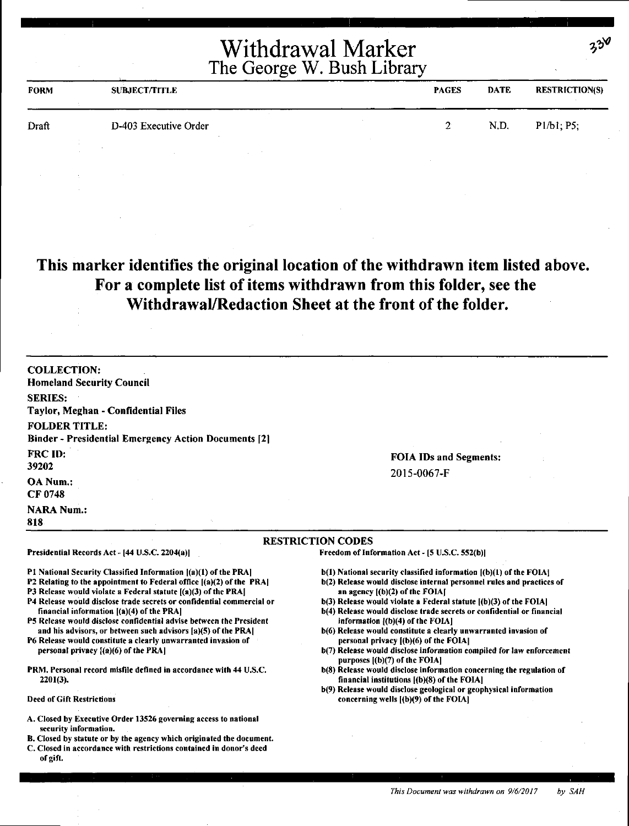| <b>FORM</b> | <b>SUBJECT/TITLE</b>  | <b>PAGES</b> | <b>DATE</b> | <b>RESTRICTION(S)</b> |
|-------------|-----------------------|--------------|-------------|-----------------------|
| Draft       | D-403 Executive Order | n.           | N.D.        | P1/b1, P5;            |
|             |                       |              |             |                       |

#### **This marker identifies the original location of the withdrawn item listed above. For a complete list of items withdrawn from this folder, see the Withdrawal/Redaction Sheet at the front of the folder.**

| <b>Homeland Security Council</b>                                                                                                        |                                                                                                               |
|-----------------------------------------------------------------------------------------------------------------------------------------|---------------------------------------------------------------------------------------------------------------|
| <b>SERIES:</b>                                                                                                                          |                                                                                                               |
| Taylor, Meghan - Confidential Files                                                                                                     |                                                                                                               |
| <b>FOLDER TITLE:</b>                                                                                                                    |                                                                                                               |
| <b>Binder - Presidential Emergency Action Documents [2]</b>                                                                             |                                                                                                               |
| <b>FRC ID:</b>                                                                                                                          | <b>FOIA IDs and Segments:</b>                                                                                 |
| 39202                                                                                                                                   |                                                                                                               |
| OA Num.:                                                                                                                                | 2015-0067-F                                                                                                   |
| CF 0748                                                                                                                                 |                                                                                                               |
| <b>NARA Num.:</b>                                                                                                                       |                                                                                                               |
| 818                                                                                                                                     |                                                                                                               |
|                                                                                                                                         |                                                                                                               |
|                                                                                                                                         | <b>RESTRICTION CODES</b>                                                                                      |
| Presidential Records Act - [44 U.S.C. 2204(a)]                                                                                          | Freedom of Information Act - [5 U.S.C. 552(b)]                                                                |
| P1 National Security Classified Information [(a)(1) of the PRA]                                                                         | $b(1)$ National security classified information $(1b)(1)$ of the FOIA.                                        |
| P2 Relating to the appointment to Federal office [(a)(2) of the PRA]                                                                    | b(2) Release would disclose internal personnel rules and practices of                                         |
| P3 Release would violate a Federal statute ((a)(3) of the PRA]<br>P4 Release would disclose trade secrets or confidential commercial or | an agency $[(b)(2)$ of the FOIA $[$<br>$b(3)$ Release would violate a Federal statute $(a)(3)$ of the FOIA.   |
| financial information $[(a)(4)$ of the PRA]                                                                                             | b(4) Release would disclose trade secrets or confidential or financial                                        |
| P5 Release would disclose confidential advise between the President                                                                     | information $($ (b) $(4)$ of the FOIA]                                                                        |
| and his advisors, or between such advisors [a](5) of the PRA]                                                                           | b(6) Release would constitute a clearly unwarranted invasion of                                               |
| P6 Release would constitute a clearly unwarranted invasion of<br>personal privacy $[(a)(6)$ of the PRA]                                 | personal privacy [(b)(6) of the FOIA]<br>b(7) Release would disclose information compiled for law enforcement |
|                                                                                                                                         | purposes $[(b)(7)$ of the FOIA]                                                                               |
| PRM. Personal record misfile defined in accordance with 44 U.S.C.                                                                       | b(8) Release would disclose information concerning the regulation of                                          |
|                                                                                                                                         | financial institutions [(b)(8) of the FOIA]                                                                   |
| 2201(3).                                                                                                                                | b(9) Release would disclose geological or geophysical information                                             |

- security information.
- B. Closed by statute or by the agency which originated the document.
- C. Closed in accordance with restrictions contained in donor's deed of gift.

*This Document was withdrawn on 9/6/2017 by SAH* 

 $2.3^{\circ}$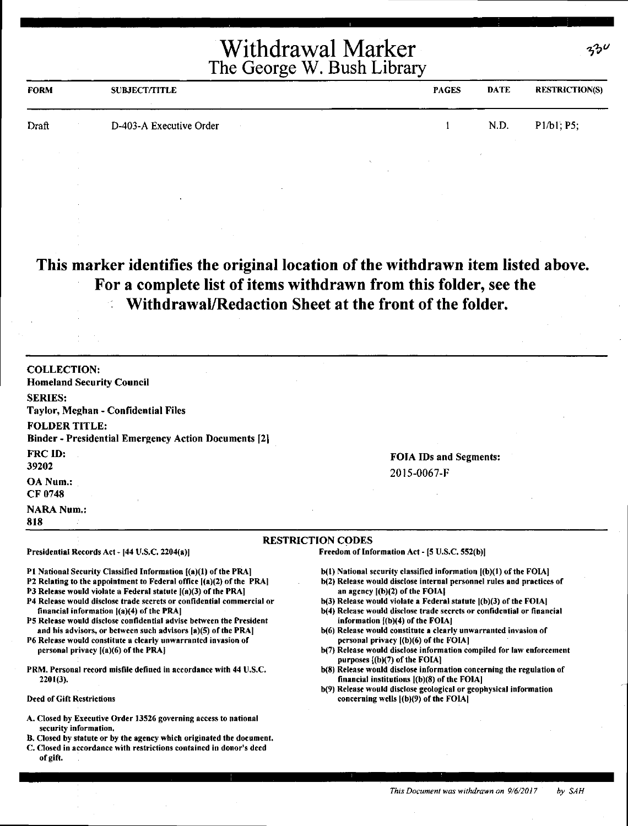| <b>FORM</b> | <b>SUBJECT/TITLE</b>    | <b>PAGES</b> | DATE | <b>RESTRICTION(S)</b> |
|-------------|-------------------------|--------------|------|-----------------------|
| Draft       | D-403-A Executive Order |              | N.D. | P1/b1, P5;            |

#### **This marker identifies the original location of the withdrawn item listed above. For a complete list of items withdrawn from this folder, see the Withdrawal/Redaction Sheet at the front of the folder.**

| <b>COLLECTION:</b><br><b>Homeland Security Council</b>                                                                                    |                                                                                                                     |
|-------------------------------------------------------------------------------------------------------------------------------------------|---------------------------------------------------------------------------------------------------------------------|
|                                                                                                                                           |                                                                                                                     |
| <b>SERIES:</b><br>Taylor, Meghan - Confidential Files                                                                                     |                                                                                                                     |
| <b>FOLDER TITLE:</b>                                                                                                                      |                                                                                                                     |
| <b>Binder - Presidential Emergency Action Documents [2]</b>                                                                               |                                                                                                                     |
| <b>FRC ID:</b>                                                                                                                            |                                                                                                                     |
| 39202                                                                                                                                     | <b>FOIA IDs and Segments:</b>                                                                                       |
|                                                                                                                                           | 2015-0067-F                                                                                                         |
| <b>OA Num.:</b><br>CF 0748                                                                                                                |                                                                                                                     |
|                                                                                                                                           |                                                                                                                     |
| <b>NARA Num.:</b><br>818                                                                                                                  |                                                                                                                     |
|                                                                                                                                           |                                                                                                                     |
|                                                                                                                                           | <b>RESTRICTION CODES</b>                                                                                            |
| Presidential Records Act - [44 U.S.C. 2204(a)]                                                                                            | Freedom of Information Act - [5 U.S.C. 552(b)]                                                                      |
| P1 National Security Classified Information $\{(a)(1)$ of the PRA]                                                                        | b(1) National security classified information [(b)(1) of the FOIA]                                                  |
| P2 Relating to the appointment to Federal office [(a)(2) of the PRA]                                                                      | b(2) Release would disclose internal personnel rules and practices of                                               |
| P3 Release would violate a Federal statute $I(a)(3)$ of the PRA]<br>P4 Release would disclose trade secrets or confidential commercial or | an agency ((b)(2) of the FOIA]<br>b(3) Release would violate a Federal statute ((b)(3) of the FOIA)                 |
| financial information $ (a)(4)$ of the PRA]                                                                                               | b(4) Release would disclose trade secrets or confidential or financial                                              |
| P5 Release would disclose confidential advise between the President                                                                       | information $($ (b) $(4)$ of the FOIA]                                                                              |
| and his advisors, or between such advisors [a)(5) of the PRA]<br>P6 Release would constitute a clearly unwarranted invasion of            | b(6) Release would constitute a clearly unwarranted invasion of<br>personal privacy ((b)(6) of the FOIA]            |
| personal privacy $[(a)(6)$ of the PRA                                                                                                     | b(7) Release would disclose information compiled for law enforcement                                                |
|                                                                                                                                           | purposes $[(b)(7)$ of the FOIA]                                                                                     |
| PRM. Personal record misfile defined in accordance with 44 U.S.C.<br>$2201(3)$ .                                                          | b(8) Release would disclose information concerning the regulation of<br>financial institutions [(b)(8) of the FOIA] |
|                                                                                                                                           | b(9) Release would disclose geological or geophysical information                                                   |
|                                                                                                                                           |                                                                                                                     |

security information,

of gift.

B. Closed by statute or by the agency which originated the document. C. Closed in accordance with restrictions contained in donor's deed

*This Document was withdrawn on 9/6/2017 by SAH* 

*,,,i;.v*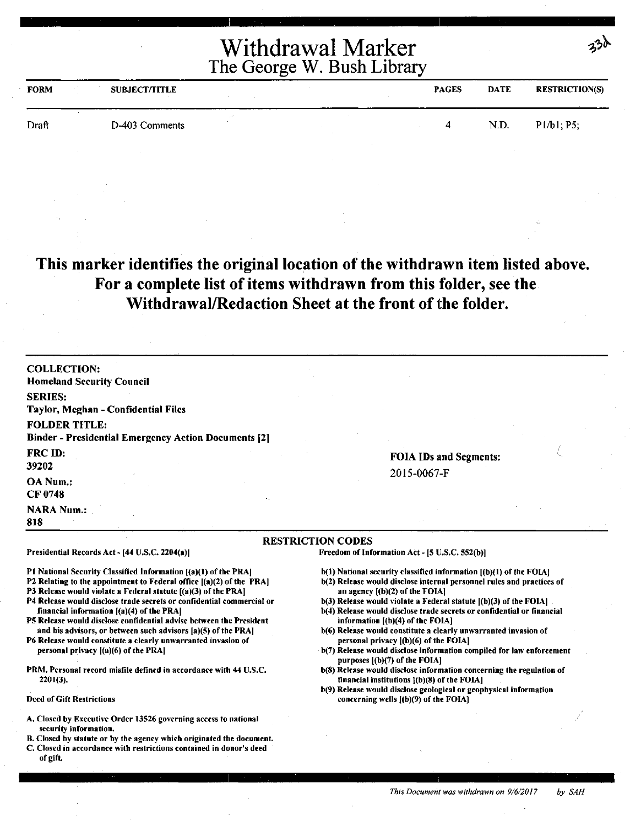| <b>FORM</b> | <b>SUBJECT/TITLE</b> |  | <b>PAGES</b> | DATE | <b>RESTRICTION(S)</b> |
|-------------|----------------------|--|--------------|------|-----------------------|
| Draft       | D-403 Comments       |  | 4            | N.D. | Pl/b1; P5;            |

**This marker identifies the original location of the withdrawn item listed above. For a complete list of items withdrawn from this folder, see the Withdrawal/Redaction Sheet at the front of** the **folder.** 

| <b>COLLECTION:</b><br><b>Homeland Security Council</b>                                                                                                                                                                                                                                                                                                                                                                                                                                                                                                                                                                                                                                                                |                                                                                                                                                                                                                                                                                                                                                                                                                                                                                                                                                                                                                                                                                                                                                                                                                                         |
|-----------------------------------------------------------------------------------------------------------------------------------------------------------------------------------------------------------------------------------------------------------------------------------------------------------------------------------------------------------------------------------------------------------------------------------------------------------------------------------------------------------------------------------------------------------------------------------------------------------------------------------------------------------------------------------------------------------------------|-----------------------------------------------------------------------------------------------------------------------------------------------------------------------------------------------------------------------------------------------------------------------------------------------------------------------------------------------------------------------------------------------------------------------------------------------------------------------------------------------------------------------------------------------------------------------------------------------------------------------------------------------------------------------------------------------------------------------------------------------------------------------------------------------------------------------------------------|
| <b>SERIES:</b><br>Taylor, Meghan - Confidential Files                                                                                                                                                                                                                                                                                                                                                                                                                                                                                                                                                                                                                                                                 |                                                                                                                                                                                                                                                                                                                                                                                                                                                                                                                                                                                                                                                                                                                                                                                                                                         |
| <b>FOLDER TITLE:</b><br><b>Binder - Presidential Emergency Action Documents [2]</b>                                                                                                                                                                                                                                                                                                                                                                                                                                                                                                                                                                                                                                   |                                                                                                                                                                                                                                                                                                                                                                                                                                                                                                                                                                                                                                                                                                                                                                                                                                         |
| <b>FRC ID:</b><br>39202                                                                                                                                                                                                                                                                                                                                                                                                                                                                                                                                                                                                                                                                                               | <b>FOIA IDs and Segments:</b>                                                                                                                                                                                                                                                                                                                                                                                                                                                                                                                                                                                                                                                                                                                                                                                                           |
| OA Num.:<br>CF 0748                                                                                                                                                                                                                                                                                                                                                                                                                                                                                                                                                                                                                                                                                                   | 2015-0067-F                                                                                                                                                                                                                                                                                                                                                                                                                                                                                                                                                                                                                                                                                                                                                                                                                             |
| <b>NARA Num.:</b><br>818                                                                                                                                                                                                                                                                                                                                                                                                                                                                                                                                                                                                                                                                                              |                                                                                                                                                                                                                                                                                                                                                                                                                                                                                                                                                                                                                                                                                                                                                                                                                                         |
|                                                                                                                                                                                                                                                                                                                                                                                                                                                                                                                                                                                                                                                                                                                       | <b>RESTRICTION CODES</b>                                                                                                                                                                                                                                                                                                                                                                                                                                                                                                                                                                                                                                                                                                                                                                                                                |
| Presidential Records Act - [44 U.S.C. 2204(a)]                                                                                                                                                                                                                                                                                                                                                                                                                                                                                                                                                                                                                                                                        | Freedom of Information Act - [5 U.S.C. 552(b)]                                                                                                                                                                                                                                                                                                                                                                                                                                                                                                                                                                                                                                                                                                                                                                                          |
| P1 National Security Classified Information [(a)(1) of the PRA]<br>P2 Relating to the appointment to Federal office [(a)(2) of the PRA]<br>P3 Release would violate a Federal statute [(a)(3) of the PRA]<br>P4 Release would disclose trade secrets or confidential commercial or<br>financial information $[(a)(4)$ of the PRA<br>P5 Release would disclose confidential advise between the President<br>and his advisors, or between such advisors [a](5) of the PRA]<br>P6 Release would constitute a clearly unwarranted invasion of<br>personal privacy $($ a $)($ 6 $)$ of the PRA $ $<br>PRM. Personal record misfile defined in accordance with 44 U.S.C.<br>$2201(3)$ .<br><b>Deed of Gift Restrictions</b> | $b(1)$ National security classified information $[(b)(1)$ of the FOIA]<br>b(2) Release would disclose internal personnel rules and practices of<br>an agency $[(b)(2)$ of the FOIA.<br>$b(3)$ Release would violate a Federal statute $(6)(3)$ of the FOIA<br>b(4) Release would disclose trade secrets or confidential or financial<br>information $[(b)(4)$ of the FOIA]<br>b(6) Release would constitute a clearly unwarranted invasion of<br>personal privacy $ (b)(6)$ of the FOIA<br>b(7) Release would disclose information compiled for law enforcement<br>purposes [(b)(7) of the FOIA]<br>b(8) Release would disclose information concerning the regulation of<br>financial institutions $[(b)(8)$ of the FOIA]<br>b(9) Release would disclose geological or geophysical information<br>concerning wells $(6)(9)$ of the FOIA |
| A. Closed by Executive Order 13526 governing access to national                                                                                                                                                                                                                                                                                                                                                                                                                                                                                                                                                                                                                                                       |                                                                                                                                                                                                                                                                                                                                                                                                                                                                                                                                                                                                                                                                                                                                                                                                                                         |
| security information.<br>B. Closed by statute or by the agency which originated the document.<br>C. Closed in accordance with restrictions contained in donor's deed<br>of gift.                                                                                                                                                                                                                                                                                                                                                                                                                                                                                                                                      |                                                                                                                                                                                                                                                                                                                                                                                                                                                                                                                                                                                                                                                                                                                                                                                                                                         |

 $230$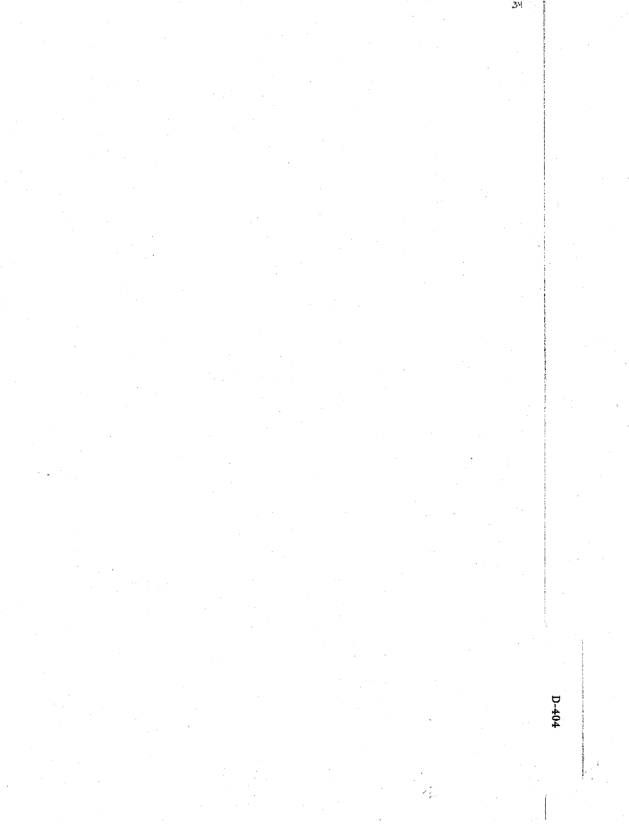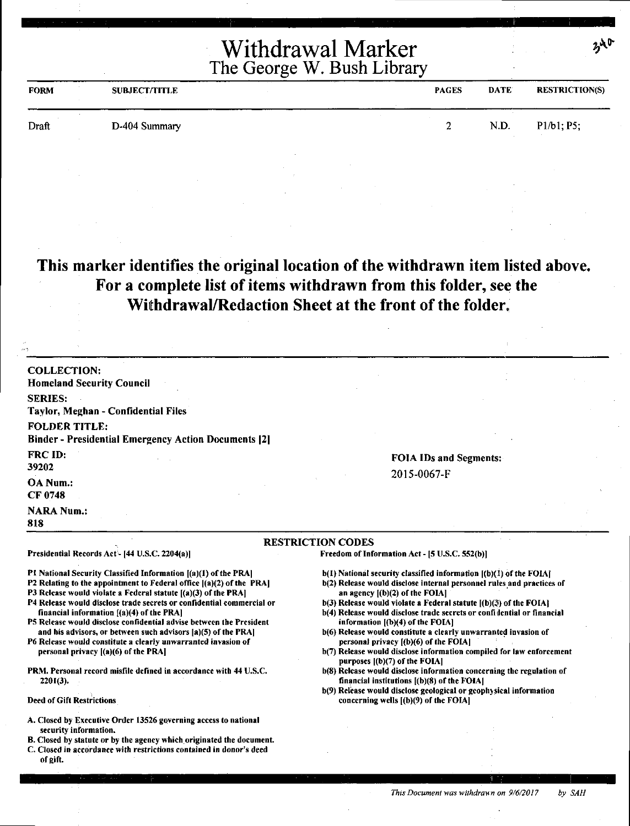| <b>FORM</b> | <b>SUBJECT/TITLE</b> | <b>PAGES</b> | <b>DATE</b> | <b>RESTRICTION(S)</b> |
|-------------|----------------------|--------------|-------------|-----------------------|
| Draft       | D-404 Summary        |              | N.D.        | P1/b1; P5;            |

#### **This marker identifies the original location of the withdrawn item listed above. For a complete list of items withdrawn from this folder, see the Withdrawal/Redaction Sheet at the front of the folder.**

| <b>COLLECTION:</b>                                                                                                                        |                                                                                                              |
|-------------------------------------------------------------------------------------------------------------------------------------------|--------------------------------------------------------------------------------------------------------------|
| <b>Homeland Security Council</b>                                                                                                          |                                                                                                              |
| <b>SERIES:</b>                                                                                                                            |                                                                                                              |
| Taylor, Meghan - Confidential Files                                                                                                       |                                                                                                              |
| <b>FOLDER TITLE:</b>                                                                                                                      |                                                                                                              |
| <b>Binder - Presidential Emergency Action Documents [2]</b>                                                                               |                                                                                                              |
| <b>FRC ID:</b>                                                                                                                            | <b>FOIA IDs and Segments:</b>                                                                                |
| 39202                                                                                                                                     | 2015-0067-F                                                                                                  |
| OA Num.:                                                                                                                                  |                                                                                                              |
| <b>CF 0748</b>                                                                                                                            |                                                                                                              |
| <b>NARA Num.:</b>                                                                                                                         |                                                                                                              |
| 818                                                                                                                                       |                                                                                                              |
|                                                                                                                                           | <b>RESTRICTION CODES</b>                                                                                     |
| Presidential Records Act - [44 U.S.C. 2204(a)]                                                                                            | Freedom of Information Act - [5 U.S.C. 552(b)]                                                               |
| PI National Security Classified Information [(a)(1) of the PRA]                                                                           | $b(1)$ National security classified information $[(b)(1)$ of the FOIA]                                       |
| P2 Relating to the appointment to Federal office [(a)(2) of the PRA]                                                                      | b(2) Release would disclose internal personnel rules and practices of                                        |
| P3 Release would violate a Federal statute $[(a)(3)$ of the PRA]<br>P4 Release would disclose trade secrets or confidential commercial or | an agency $[(b)(2)$ of the FOIA]<br>$b(3)$ Release would violate a Federal statute $(a)(3)$ of the FOIA?     |
| financial information {(a)(4) of the PRA]                                                                                                 | b(4) Release would disclose trade secrets or confidential or financial                                       |
| P5 Release would disclose confidential advise between the President<br>and his advisors, or between such advisors [a](5) of the PRA]      | information $[(b)(4)$ of the FOIA]<br>b(6) Release would constitute a clearly unwarranted invasion of        |
| P6 Release would constitute a clearly unwarranted invasion of                                                                             | personal privacy [(b)(6) of the FOIA]                                                                        |
| personal privacy [(a)(6) of the PRA]                                                                                                      | b(7) Release would disclose information compiled for law enforcement                                         |
| PRM. Personal record misfile defined in accordance with 44 U.S.C.                                                                         | purposes $[(b)(7)$ of the FOIA]<br>b(8) Release would disclose information concerning the regulation of      |
| $2201(3)$ .                                                                                                                               | financial institutions [(b)(8) of the FOIA]                                                                  |
| <b>Deed of Gift Restrictions</b>                                                                                                          | b(9) Release would disclose geological or geophysical information<br>concerning wells $[(b)(9)$ of the FOIA] |
|                                                                                                                                           |                                                                                                              |
|                                                                                                                                           |                                                                                                              |
| A. Closed by Executive Order 13526 governing access to national<br>security information.                                                  |                                                                                                              |

C. Closed in accordance with restrictions contained in donor's deed

of gift.

 $340$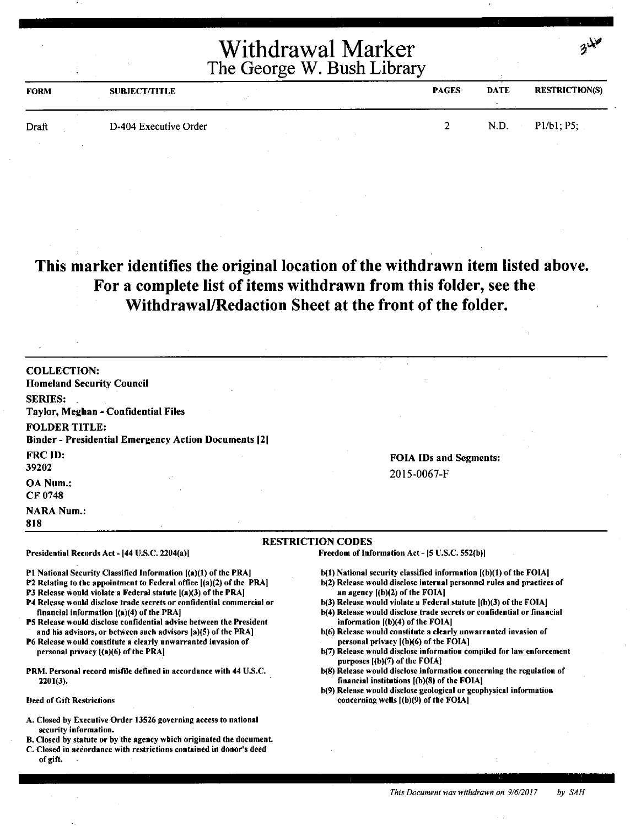| <b>FORM</b> | <b>SUBJECT/TITLE</b>  | <b>PAGES</b> | <b>DATE</b> | <b>RESTRICTION(S)</b> |
|-------------|-----------------------|--------------|-------------|-----------------------|
| Draft       | D-404 Executive Order |              | N.D.        | P1/b1; P5;            |

#### **This marker identifies the original location of the withdrawn item listed above. For a complete list of items withdrawn from this folder, see the Withdrawal/Redaction Sheet at the front of the folder.**

| <b>COLLECTION:</b>                                              |                                                                    |
|-----------------------------------------------------------------|--------------------------------------------------------------------|
| <b>Homeland Security Council</b>                                |                                                                    |
| <b>SERIES:</b>                                                  |                                                                    |
| Taylor, Meghan - Confidential Files                             |                                                                    |
| <b>FOLDER TITLE:</b>                                            |                                                                    |
| <b>Binder - Presidential Emergency Action Documents [2]</b>     |                                                                    |
| <b>FRC ID:</b>                                                  | <b>FOIA IDs and Segments:</b>                                      |
| 39202                                                           | 2015-0067-F                                                        |
| <b>OA Num.:</b>                                                 |                                                                    |
| CF 0748                                                         |                                                                    |
| <b>NARA Num.:</b>                                               |                                                                    |
| 818                                                             |                                                                    |
|                                                                 | <b>RESTRICTION CODES</b>                                           |
| Presidential Records Act - [44 U.S.C. 2204(a)]                  | Freedom of Information Act - [5 U.S.C. 552(b)]                     |
| P1 National Security Classified Information [(a)(1) of the PRA] | b(1) National security classified information [(b)(1) of the FOIA] |

Pl National Security Classified Information ((a)(l) of the PRAJ

- P2 Relating to the appointment to Federal office [(a)(2) of the PRA]
- P3 Release would violate a Federal statute  $[(a)(3)$  of the PRA]
- P4 Release would disclose trade secrets or confidential commercial or financial information ((a)(4) of the PRAJ
- PS Release would disclose confidential advise between the President and his advisors, or between such advisors  $|a\rangle(5)$  of the PRA]
- P6 Release would constitute a clearly unwarranted invasion of personal privacy [(a)(6) of the PRA)
- PRM. Personal record misfile defined in accordance with 44 U.S.C. 2201(3).

Deed of Gift Restrictions

- A. Closed by Executive Order 13526 governing access to national security information.
- B. Closed by statute or by the agency which originated the document.
- C. Closed in accordance with restrictions contained in donor's deed of gift.
- b(2) Release would disclose internal personnel rules and practices of
- **an** agency [(b)(2) of the FOIA[
- b(3) Release would violate a Federal statute  $[(b)(3)$  of the FOIA $]$
- b(4) Release would disclose trade secrets or confidential or financial information  $[(b)(4)$  of the FOIA]
- b(6) Release would constitute a clearly unwarranted invasion of personal privacy [(b)(6) of the FOIA]
- b(7) Release would disclose information compiled for law enforcement purposes [(b)(7) of the FOIA]
- b(8) Release would disclose information concerning the regulation of financial institutions  $[(b)(8)$  of the FOIA]
- b(9) Release would disclose geological or geophysical information concerning wells [(b)(9) of the FOIA]

 $3$  $\lambda$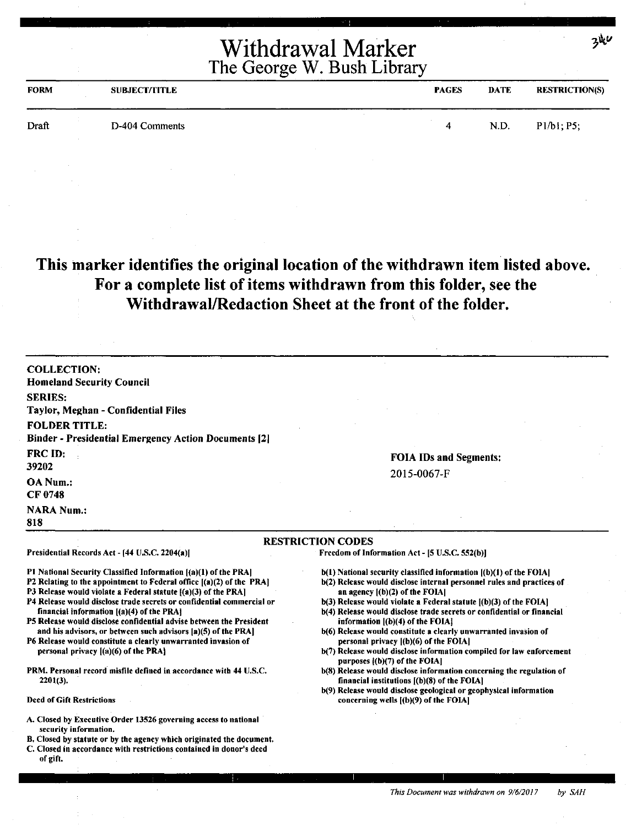| <b>FORM</b> | <b>SUBJECT/TITLE</b> | <b>PAGES</b> | <b>DATE</b> | <b>RESTRICTION(S)</b> |
|-------------|----------------------|--------------|-------------|-----------------------|
| Draft       | D-404 Comments       | 4            | N.D.        | P1/b1; P5;            |

#### **This marker identifies the original location of the withdrawn item listed above. For a complete list of items withdrawn from this folder, see the Withdrawal/Redaction Sheet at the front of the folder.**

COLLECTION: Homeland Security Council SERIES: Taylor, Meghan - Confidential Files FOLDER TITLE: Binder - Presidential Emergency Action Documents [21 FRC ID: 39202 OA Num.: CF 0748 **NARA Num.:** 818 FOIA IDs and Segments: 2015-0067-F RESTRICTION CODES Presidential Records Act - [44 U.S.C. 2204(a)] P1 National Security Classified Information [(a)(1) of the PRA] P2 Relating to the appointment to Federal office ((a)(2) of the PRA) P3 Release would violate a Federal statute  $[(a)(3)$  of the PRA] P4 Release would disclose trade secrets or confidential commercial or financial information [(a)(4) of the PRA) PS Release would disclose confidential advise between the President and his advisors, or between such advisors (a)(S) of the PRA) P6 Release would constitute a clearly unwarranted invasion of personal privacy ((a)(6) of the PRA) PRM. Personal record misfile defined in accordance with 44 U.S.C. 2201(3). Deed of Gift Restrictions A. Closed by Executive Order 13526 governing access to national security information. B. Closed by statute or by the agency which originated the document. C. Closed in accordance with restrictions contained in donor's deed Freedom of Information Act - (S U.S.C. 552(b)J b(l) National security classified information ((b)(l) of the FOIA) b(2) Release would disclose internal personnel rules and practices of an agency ((b)(2) of the FOIAI b(3) Release would violate a Federal statute [(b)(3) of the FOIA] b(4) Release would disclose trade secrets or confidential or financial information ((b)(4) of the FOIAI b(6) Release would constitute a clearly unwarranted invasion of personal privacy ((b)(6) of the FOIAI b(7) Release would disclose information compiled for law enforcement purposes ((b)(7) of the FOIAI b(8) Release would disclose information concerning the regulation of financial institutions  $(6)(8)$  of the FOIA) b(9) Release would disclose geological or geophysical information concerning wells ((b)(9) of the FOIA)

of gift.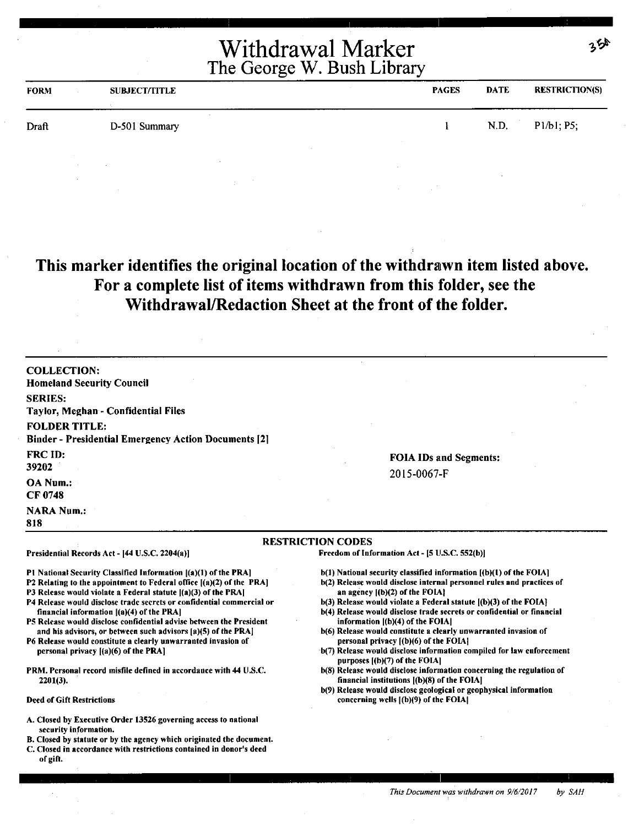|             |                      | Withdrawal Marker<br>The George W. Bush Library |             | っら                    |
|-------------|----------------------|-------------------------------------------------|-------------|-----------------------|
| <b>FORM</b> | <b>SUBJECT/TITLE</b> | <b>PAGES</b>                                    | <b>DATE</b> | <b>RESTRICTION(S)</b> |
| Draft       | D-501 Summary        |                                                 | N.D.        | P1/b1: P5:            |

#### **This marker identifies the original location of the withdrawn item listed above. For a complete list of items withdrawn from this folder, see the Withdrawal/Redaction Sheet at the front of the folder.**

**COLLECTION:**  Homeland Security Council **SERIES:**  Taylor, Meghan - Confidential Files **FOLDER TITLE:**  Binder - Presidential Emergency Action Documents (21 FRC ID: 39202 **OANum.: CF0748 NARA Num.: 818** 

**FOIA** IDs and Segments: 2015-0067-F

#### **RESTRICTION CODES**

Freedom of Information Act - (5 U.S.C. 552(b))

- b(l) National security classified information [(b)(l) of the FOIA]
- b(2) Release would disclose internal personnel rules and practices of an agency [(b)(2) of the FOIA]
- b(3) Release would violate a Federal statute ((b)(3) of the FOIA]
- b(4) Release would disclose trade secrets or confidential or financial information ((b)(4) of the FOIAJ
- b(6) Release would constitute a clearly unwarranted invasion of personal privacy [(b)(6) of the FOIA]
- b(7) Release would disclose information compiled for law enforcement purposes f(b)(7) of the FOIAI
- b(8) Release would disclose information concerning the regulation of financial institutions ((b)(8) of the FOIAJ
- b(9) Release would disclose geological or geophysical information concerning wells [(b)(9) of the FOIA]
- A. Closed by Executive Order 13526 governing access to national security information.

Presidential Records Act - (44 U.S.C. 2204(a)]

financial information [(a)(4) of the PRA]

personal privacy  $[(a)(6)$  of the PRA]

2201(3).

Deed of Gift Restrictions

Pl National Security Classified Information  $|(a)(1)$  of the PRA] P2 Relating to the appointment to Federal office ((a)(2) of the PRAJ P3 Release would violate a Federal statute [(a)(3) of the PRA] P4 Release would disclose trade secrets or confidential commercial or

P5 Release would disclose confidential advise between the President and his advisors, or between such advisors (a)(5) of the PRAJ P6 Release would constitute a clearly unwarranted invasion of

PRM. Personal record misfile defined in accordance with 44 U.S.C.

- B. Closed by statute or by the agency which originated the document.
- C. Closed in accordance with restrictions contained in donor's deed of gift.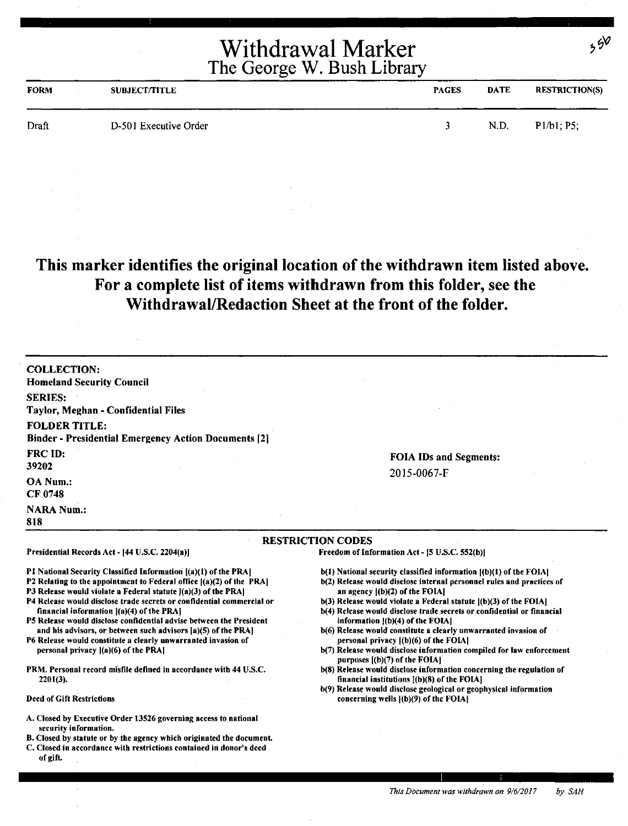| <b>FORM</b> | <b>SUBJECT/TITLE</b>  | <b>PAGES</b> | <b>DATE</b> | <b>RESTRICTION(S)</b> |
|-------------|-----------------------|--------------|-------------|-----------------------|
| Draft       | D-501 Executive Order |              | N.D.        | P1/b1; P5;            |

#### **This marker identifies the original location of the withdrawn item listed above. For a complete list of items withdrawn from this folder, see the Withdrawal/Redaction Sheet at the front of the folder.**

| <b>COLLECTION:</b><br><b>Homeland Security Council</b>                                                                                                                                                                                                                                                                                                                                                                                                                                                                                                                                                                                                    |                                                                                                                                                                                                                                                                                                                                                                                                                                                                                                                                                                                                                                                                       |
|-----------------------------------------------------------------------------------------------------------------------------------------------------------------------------------------------------------------------------------------------------------------------------------------------------------------------------------------------------------------------------------------------------------------------------------------------------------------------------------------------------------------------------------------------------------------------------------------------------------------------------------------------------------|-----------------------------------------------------------------------------------------------------------------------------------------------------------------------------------------------------------------------------------------------------------------------------------------------------------------------------------------------------------------------------------------------------------------------------------------------------------------------------------------------------------------------------------------------------------------------------------------------------------------------------------------------------------------------|
| <b>SERIES:</b><br>Taylor, Meghan - Confidential Files                                                                                                                                                                                                                                                                                                                                                                                                                                                                                                                                                                                                     |                                                                                                                                                                                                                                                                                                                                                                                                                                                                                                                                                                                                                                                                       |
| <b>FOLDER TITLE:</b><br><b>Binder - Presidential Emergency Action Documents [2]</b>                                                                                                                                                                                                                                                                                                                                                                                                                                                                                                                                                                       |                                                                                                                                                                                                                                                                                                                                                                                                                                                                                                                                                                                                                                                                       |
| <b>FRC ID:</b><br>39202                                                                                                                                                                                                                                                                                                                                                                                                                                                                                                                                                                                                                                   | <b>FOIA IDs and Segments:</b>                                                                                                                                                                                                                                                                                                                                                                                                                                                                                                                                                                                                                                         |
| OA Num.:<br><b>CF 0748</b>                                                                                                                                                                                                                                                                                                                                                                                                                                                                                                                                                                                                                                | 2015-0067-F                                                                                                                                                                                                                                                                                                                                                                                                                                                                                                                                                                                                                                                           |
| <b>NARA Num.:</b><br>818                                                                                                                                                                                                                                                                                                                                                                                                                                                                                                                                                                                                                                  |                                                                                                                                                                                                                                                                                                                                                                                                                                                                                                                                                                                                                                                                       |
|                                                                                                                                                                                                                                                                                                                                                                                                                                                                                                                                                                                                                                                           | <b>RESTRICTION CODES</b>                                                                                                                                                                                                                                                                                                                                                                                                                                                                                                                                                                                                                                              |
| Presidential Records Act - [44 U.S.C. 2204(a)]                                                                                                                                                                                                                                                                                                                                                                                                                                                                                                                                                                                                            | Freedom of Information Act - [5 U.S.C. 552(b)]                                                                                                                                                                                                                                                                                                                                                                                                                                                                                                                                                                                                                        |
| P1 National Security Classified Information [(a)(1) of the PRA]<br>P2 Relating to the appointment to Federal office [(a)(2) of the PRA]<br>P3 Release would violate a Federal statute $J(a)(3)$ of the PRA]<br>P4 Release would disclose trade secrets or confidential commercial or<br>financial information [(a)(4) of the PRA]<br>P5 Release would disclose confidential advise between the President<br>and his advisors, or between such advisors [a)(5) of the PRA]<br>P6 Release would constitute a clearly unwarranted invasion of<br>personal privacy $[(a)(6)$ of the PRA]<br>PRM. Personal record misfile defined in accordance with 44 U.S.C. | $b(1)$ National security classified information $(a)(1)$ of the FOIA.<br>b(2) Release would disclose internal personnel rules and practices of<br>an agency $[(b)(2)$ of the FOIA<br>b(3) Release would violate a Federal statute [(b)(3) of the FOIA]<br>b(4) Release would disclose trade secrets or confidential or financial<br>information [(b)(4) of the FOIA]<br>b(6) Release would constitute a clearly unwarranted invasion of<br>personal privacy $[(b)(6)$ of the FOIA]<br>b(7) Release would disclose information compiled for law enforcement<br>purposes $[(b)(7)$ of the FOIA]<br>b(8) Release would disclose information concerning the regulation of |
| 2201(3).                                                                                                                                                                                                                                                                                                                                                                                                                                                                                                                                                                                                                                                  | financial institutions $($ b $)(8)$ of the FOIA $]$<br>b(9) Release would disclose geological or geophysical information                                                                                                                                                                                                                                                                                                                                                                                                                                                                                                                                              |
| <b>Deed of Gift Restrictions</b>                                                                                                                                                                                                                                                                                                                                                                                                                                                                                                                                                                                                                          | concerning wells [(b)(9) of the FOIA]                                                                                                                                                                                                                                                                                                                                                                                                                                                                                                                                                                                                                                 |
| A. Closed by Executive Order 13526 governing access to national<br>security information.<br>B. Closed by statute or by the agency which originated the document.<br>C. Closed in accordance with restrictions contained in donor's deed<br>of gift.                                                                                                                                                                                                                                                                                                                                                                                                       |                                                                                                                                                                                                                                                                                                                                                                                                                                                                                                                                                                                                                                                                       |

 $,5^{\circ}$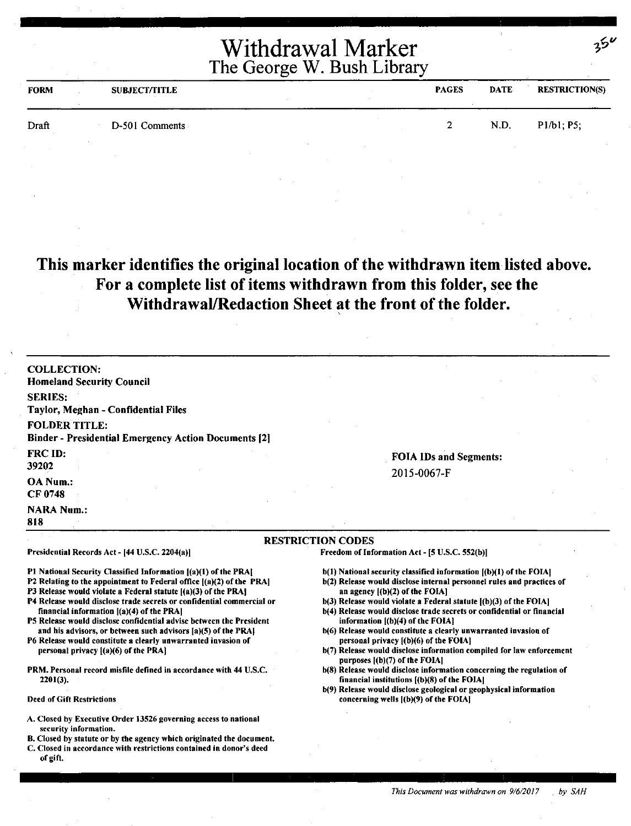| <b>FORM</b> | <b>SUBJECT/TITLE</b> | <b>PAGES</b> | <b>DATE</b> | <b>RESTRICTION(S)</b> |
|-------------|----------------------|--------------|-------------|-----------------------|
| Draft       | D-501 Comments       | <u>ົ</u>     | N.D.        | P1/b1; P5;            |
|             |                      |              |             |                       |

#### **This marker identifies the original location of the withdrawn item listed above. For a complete list of items withdrawn from this folder, see the Withdrawal/Redaction Sheet at the front of the folder.**

| <b>COLLECTION:</b>                                                                                                                     |                                                                                                                       |  |
|----------------------------------------------------------------------------------------------------------------------------------------|-----------------------------------------------------------------------------------------------------------------------|--|
| <b>Homeland Security Council</b>                                                                                                       |                                                                                                                       |  |
| <b>SERIES:</b>                                                                                                                         |                                                                                                                       |  |
| Taylor, Meghan - Confidential Files                                                                                                    |                                                                                                                       |  |
| <b>FOLDER TITLE:</b>                                                                                                                   |                                                                                                                       |  |
| <b>Binder - Presidential Emergency Action Documents [2]</b>                                                                            |                                                                                                                       |  |
| <b>FRC ID:</b>                                                                                                                         | <b>FOIA IDs and Segments:</b>                                                                                         |  |
| 39202                                                                                                                                  | 2015-0067-F                                                                                                           |  |
| OA Num.:<br>CF 0748                                                                                                                    |                                                                                                                       |  |
| <b>NARA Num.:</b><br>818                                                                                                               |                                                                                                                       |  |
|                                                                                                                                        | <b>RESTRICTION CODES</b>                                                                                              |  |
| Presidential Records Act - [44 U.S.C. 2204(a)]                                                                                         | Freedom of Information Act - [5 U.S.C. 552(b)]                                                                        |  |
| P1 National Security Classified Information [(a)(1) of the PRA]                                                                        | b(1) National security classified information [(b)(1) of the FOIA]                                                    |  |
| P2 Relating to the appointment to Federal office [(a)(2) of the PRA]<br>P3 Release would violate a Federal statute ((a)(3) of the PRA] | b(2) Release would disclose internal personnel rules and practices of<br>an agency $(1)(2)$ of the FOIA]              |  |
| P4 Release would disclose trade secrets or confidential commercial or                                                                  | b(3) Release would violate a Federal statute [(b)(3) of the FOIA]                                                     |  |
| financial information $[(a)(4)$ of the PRA]<br>P5 Release would disclose confidential advise between the President                     | b(4) Release would disclose trade secrets or confidential or financial<br>information $[(b)(4)$ of the FOIA]          |  |
| and his advisors, or between such advisors [a](5) of the PRA]                                                                          | b(6) Release would constitute a clearly unwarranted invasion of                                                       |  |
| P6 Release would constitute a clearly unwarranted invasion of                                                                          | personal privacy [(b)(6) of the FOIA]                                                                                 |  |
| personal privacy $[(a)(6)$ of the PRA]                                                                                                 | b(7) Release would disclose information compiled for law enforcement<br>purposes $[(b)(7)$ of the FOIA]               |  |
| PRM. Personal record misfile defined in accordance with 44 U.S.C.<br>$2201(3)$ .                                                       | b(8) Release would disclose information concerning the regulation of<br>financial institutions $[(b)(8)$ of the FOIA] |  |
|                                                                                                                                        | b(9) Release would disclose geological or geophysical information                                                     |  |

Deed of Gift Restrictions

- A. Closed by Executive Order 13526 governing access to national security information.
- 8. Closed by statute or by the agency which originated the document.
- C. Closed in accordance with restrictions contained in donor's deed of gift.

*This Document was withdrawn on 9/612017 by SAH* 

concerning wells ({b)(9) of the FOIA)

 $35^{\circ}$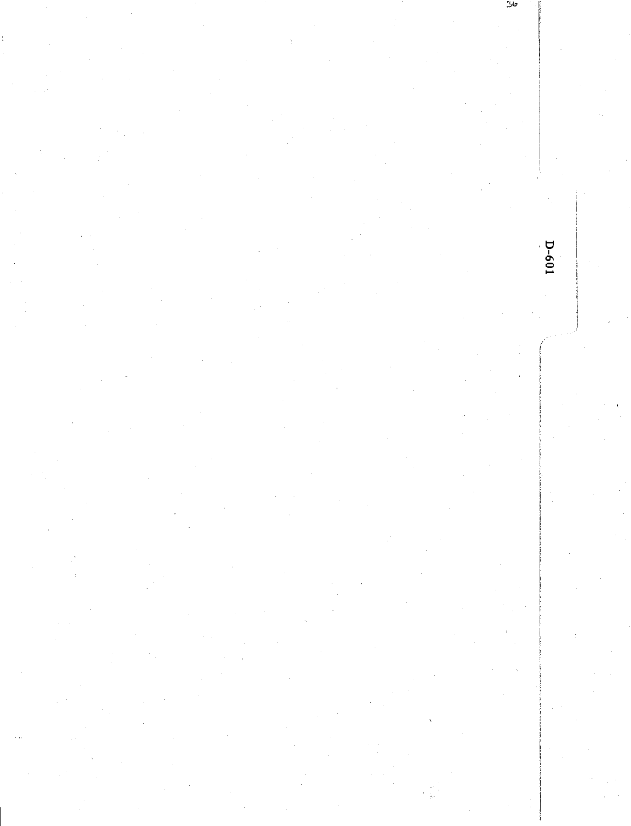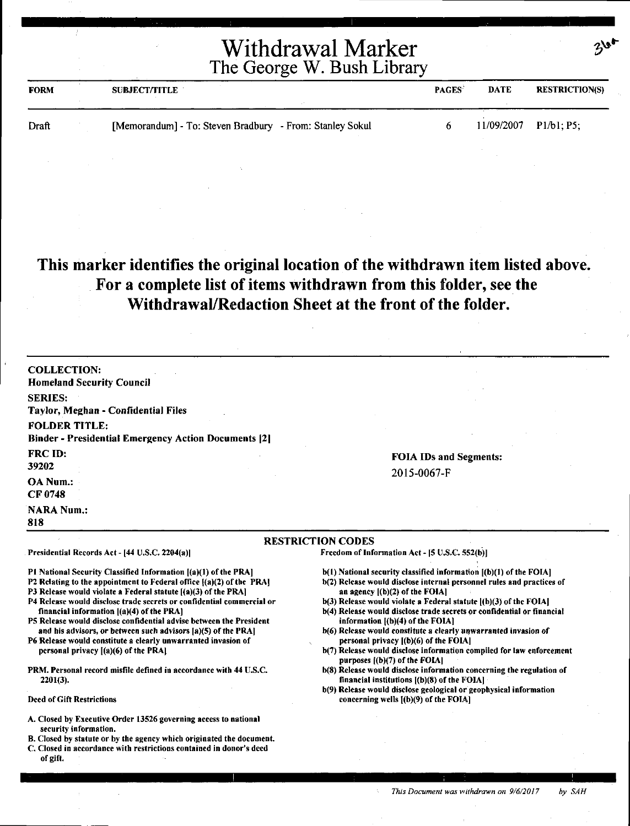| <b>FORM</b> | <b>SUBJECT/TITLE</b>                                     | <b>PAGES</b> | <b>DATE</b> | <b>RESTRICTION(S)</b> |
|-------------|----------------------------------------------------------|--------------|-------------|-----------------------|
| Draft       | [Memorandum] - To: Steven Bradbury - From: Stanley Sokul |              |             | 11/09/2007 P1/b1: P5; |

#### **This marker identifies the original location of the withdrawn item listed above. For a complete list of items withdrawn from this folder, see the Withdrawal/Redaction Sheet at the front of the folder.**

| <b>COLLECTION:</b><br><b>Homeland Security Council</b>                                                                                                                 |                                                                                                                     |
|------------------------------------------------------------------------------------------------------------------------------------------------------------------------|---------------------------------------------------------------------------------------------------------------------|
| <b>SERIES:</b>                                                                                                                                                         |                                                                                                                     |
| Taylor, Meghan - Confidential Files                                                                                                                                    |                                                                                                                     |
|                                                                                                                                                                        |                                                                                                                     |
| <b>FOLDER TITLE:</b>                                                                                                                                                   |                                                                                                                     |
| <b>Binder - Presidential Emergency Action Documents [2]</b>                                                                                                            |                                                                                                                     |
| <b>FRC ID:</b>                                                                                                                                                         | <b>FOIA IDs and Segments:</b>                                                                                       |
| 39202                                                                                                                                                                  | 2015-0067-F                                                                                                         |
| <b>OA Num.:</b>                                                                                                                                                        |                                                                                                                     |
| CF 0748                                                                                                                                                                |                                                                                                                     |
| <b>NARA Num.:</b>                                                                                                                                                      |                                                                                                                     |
| 818                                                                                                                                                                    |                                                                                                                     |
|                                                                                                                                                                        |                                                                                                                     |
|                                                                                                                                                                        | <b>RESTRICTION CODES</b>                                                                                            |
| Presidential Records Act - [44 U.S.C. 2204(a)]                                                                                                                         | Freedom of Information Act - [5 U.S.C. 552(b)]                                                                      |
| P1 National Security Classified Information [(a)(1) of the PRA]                                                                                                        | b(1) National security classified information [(b)(1) of the FOIA]                                                  |
| P2 Relating to the appointment to Federal office {(a)(2) of the PRA]                                                                                                   | b(2) Release would disclose internal personnel rules and practices of                                               |
| P3 Release would violate a Federal statute [(a)(3) of the PRA]                                                                                                         | an agency $[(b)(2)$ of the FOIA]                                                                                    |
| P4 Release would disclose trade secrets or confidential commercial or                                                                                                  | $b(3)$ Release would violate a Federal statute $(b)(3)$ of the FOIA                                                 |
| financial information $[(a)(4)$ of the PRA]<br>P5 Release would disclose confidential advise between the President                                                     | b(4) Release would disclose trade secrets or confidential or financial<br>information [(b)(4) of the FOIA]          |
| and his advisors, or between such advisors [a)(5) of the PRA]                                                                                                          | b(6) Release would constitute a clearly unwarranted invasion of                                                     |
|                                                                                                                                                                        | personal privacy ((b)(6) of the FOIA]                                                                               |
|                                                                                                                                                                        |                                                                                                                     |
| personal privacy ((a)(6) of the PRA]                                                                                                                                   | b(7) Release would disclose information compiled for law enforcement<br>purposes $($ (b) $(7)$ of the FOIA]         |
| $2201(3)$ .                                                                                                                                                            | b(8) Release would disclose information concerning the regulation of<br>financial institutions [(b)(8) of the FOIA] |
| P6 Release would constitute a clearly unwarranted invasion of<br>PRM. Personal record misfile defined in accordance with 44 U.S.C.<br><b>Deed of Gift Restrictions</b> | b(9) Release would disclose geological or geophysical information<br>concerning wells $(1)(9)$ of the FOIA]         |

8. Closed by statute or by the agency which originated the document.

C. Closed in accordance with restrictions contained in donor's deed of gift.

*This Document was withdrawn on 9/6/2017 by SAH*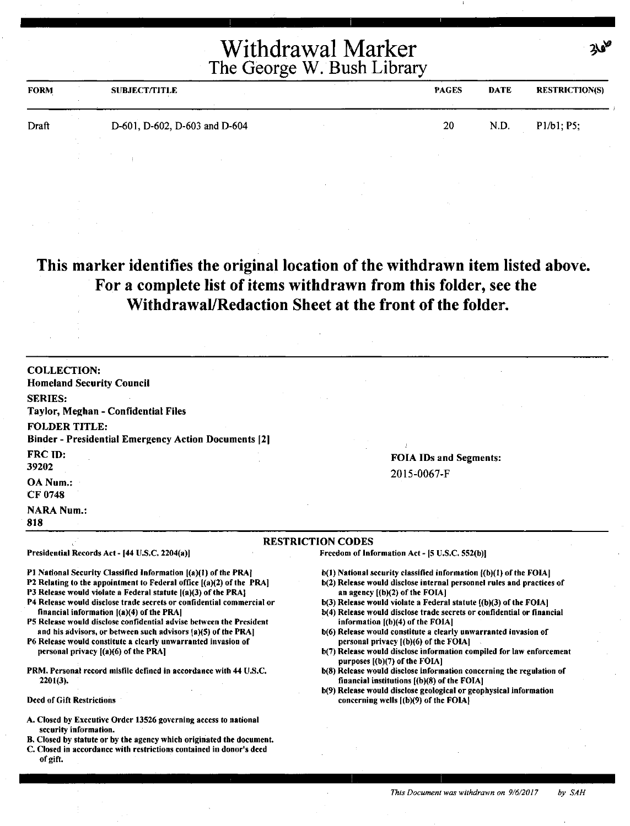| <b>FORM</b> | <b>SUBJECT/TITLE</b>          | <b>PAGES</b> | <b>DATE</b> | <b>RESTRICTION(S)</b> |
|-------------|-------------------------------|--------------|-------------|-----------------------|
| Draft       | D-601, D-602, D-603 and D-604 | 20           | N.D.        | P1/b1; P5;            |
|             |                               |              |             |                       |

### **This marker identifies the original location of the withdrawn item listed above. For a complete list of items withdrawn from this folder, see the Withdrawal/Redaction Sheet at the front of the folder.**

| <b>COLLECTION:</b><br><b>Homeland Security Council</b>                                                                                      |                                                                                                                      |
|---------------------------------------------------------------------------------------------------------------------------------------------|----------------------------------------------------------------------------------------------------------------------|
| <b>SERIES:</b>                                                                                                                              |                                                                                                                      |
| Taylor, Meghan - Confidential Files                                                                                                         |                                                                                                                      |
| <b>FOLDER TITLE:</b>                                                                                                                        |                                                                                                                      |
| <b>Binder - Presidential Emergency Action Documents [2]</b>                                                                                 |                                                                                                                      |
| FRC ID:                                                                                                                                     |                                                                                                                      |
| 39202                                                                                                                                       | <b>FOIA IDs and Segments:</b>                                                                                        |
| OA Num.:                                                                                                                                    | 2015-0067-F                                                                                                          |
| <b>CF 0748</b>                                                                                                                              |                                                                                                                      |
| <b>NARA Num.:</b>                                                                                                                           |                                                                                                                      |
| 818                                                                                                                                         |                                                                                                                      |
|                                                                                                                                             | <b>RESTRICTION CODES</b>                                                                                             |
| Presidential Records Act - [44 U.S.C. 2204(a)]                                                                                              | Freedom of Information Act - [5 U.S.C. 552(b)]                                                                       |
| P1 National Security Classified Information [(a)(1) of the PRA]                                                                             | b(1) National security classified information ((b)(1) of the FOIA]                                                   |
| <b>P2</b> Relating to the appointment to Federal office [(a)(2) of the PRA]                                                                 | b(2) Release would disclose internal personnel rules and practices of                                                |
| P3 Release would violate a Federal statute ((a)(3) of the PRA!<br>P4 Release would disclose trade secrets or confidential commercial or     | an agency $[(b)(2)$ of the FOIA]<br>$b(3)$ Release would violate a Federal statute $(6)(3)$ of the FOIA]             |
| financial information $[(a)(4)$ of the PRA]                                                                                                 | b(4) Release would disclose trade secrets or confidential or financial                                               |
| P5 Release would disclose confidential advise between the President                                                                         | information [(b)(4) of the FOIA]                                                                                     |
| and his advisors, or between such advisors (a)(5) of the PRA]<br>P6 Release would constitute a clearly unwarranted invasion of              | b(6) Release would constitute a clearly unwarranted invasion of<br>personal privacy $[(b)(6)$ of the FOIA]           |
| personal privacy [(a)(6) of the PRA]                                                                                                        | b(7) Release would disclose information compiled for law enforcement                                                 |
|                                                                                                                                             | purposes $[(b)(7)$ of the FOIA]                                                                                      |
| PRM. Personal record misfile defined in accordance with 44 U.S.C.<br>$2201(3)$ .                                                            | b(8) Release would disclose information concerning the regulation of<br>financial institutions $(6)(8)$ of the FOIA] |
|                                                                                                                                             | b(9) Release would disclose geological or geophysical information                                                    |
| <b>Deed of Gift Restrictions</b>                                                                                                            | concerning wells $($ (b) $(9)$ of the FOIA $\}$                                                                      |
| A. Closed by Executive Order 13526 governing access to national                                                                             |                                                                                                                      |
| security information.                                                                                                                       |                                                                                                                      |
| B. Closed by statute or by the agency which originated the document.<br>C. Closed in accordance with restrictions contained in donor's deed |                                                                                                                      |
| of gift.                                                                                                                                    |                                                                                                                      |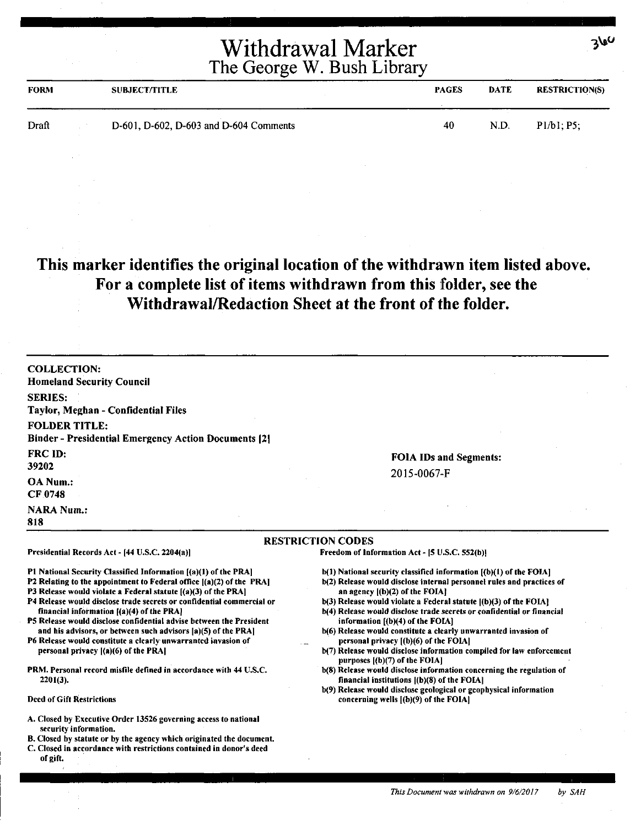| <b>FORM</b> | <b>SUBJECT/TITLE</b>                   | <b>PAGES</b> | <b>DATE</b> | <b>RESTRICTION(S)</b> |
|-------------|----------------------------------------|--------------|-------------|-----------------------|
| Draft       | D-601, D-602, D-603 and D-604 Comments | 40           | N.D.        | P1/b1: P5;            |

#### **This marker identifies the original location of the withdrawn item listed above. For a complete list of items withdrawn from this folder, see the Withdrawal/Redaction Sheet at the front of the folder.**

| <b>COLLECTION:</b>                                                                                                 |                                                                                                                                             |
|--------------------------------------------------------------------------------------------------------------------|---------------------------------------------------------------------------------------------------------------------------------------------|
| <b>Homeland Security Council</b>                                                                                   |                                                                                                                                             |
| <b>SERIES:</b>                                                                                                     |                                                                                                                                             |
| Taylor, Meghan - Confidential Files                                                                                |                                                                                                                                             |
| <b>FOLDER TITLE:</b>                                                                                               |                                                                                                                                             |
| <b>Binder - Presidential Emergency Action Documents [2]</b>                                                        |                                                                                                                                             |
| <b>FRC ID:</b>                                                                                                     | <b>FOIA IDs and Segments:</b>                                                                                                               |
| 39202                                                                                                              |                                                                                                                                             |
| OA Num.:                                                                                                           | 2015-0067-F                                                                                                                                 |
| <b>CF 0748</b>                                                                                                     |                                                                                                                                             |
| <b>NARA Num.:</b>                                                                                                  |                                                                                                                                             |
| 818                                                                                                                |                                                                                                                                             |
|                                                                                                                    | <b>RESTRICTION CODES</b>                                                                                                                    |
| Presidential Records Act - [44 U.S.C. 2204(a)]                                                                     | Freedom of Information Act - [5 U.S.C. 552(b)]                                                                                              |
| P1 National Security Classified Information [(a)(1) of the PRA]                                                    | $b(1)$ National security classified information $(a)(1)$ of the FOIA]                                                                       |
| P2 Relating to the appointment to Federal office $[(a)(2)$ of the PRA]                                             | b(2) Release would disclose internal personnel rules and practices of                                                                       |
| P3 Release would violate a Federal statute [(a)(3) of the PRA]                                                     | an agency $(1b)(2)$ of the FOIA?                                                                                                            |
| P4 Release would disclose trade secrets or confidential commercial or<br>financial information [(a)(4) of the PRA] | b(3) Release would violate a Federal statute ((b)(3) of the FOIA!<br>b(4) Release would disclose trade secrets or confidential or financial |
| P5 Release would disclose confidential advise between the President                                                | information [(b)(4) of the FOIA]                                                                                                            |
| and his advisors, or between such advisors [a](5) of the PRA]                                                      | b(6) Release would constitute a clearly unwarranted invasion of                                                                             |
| P6 Release would constitute a clearly unwarranted invasion of                                                      | personal privacy [(b)(6) of the FOIA]                                                                                                       |
| personal privacy [(a)(6) of the PRA]                                                                               | b(7) Release would disclose information compiled for law enforcement<br>purposes [(b)(7) of the FOIA]                                       |
| PRM. Personal record misfile defined in accordance with 44 U.S.C.                                                  | b(8) Release would disclose information concerning the regulation of                                                                        |
| $2201(3)$ .                                                                                                        | financial institutions $ (b)(8)$ of the FOIA]                                                                                               |
| <b>Deed of Gift Restrictions</b>                                                                                   | b(9) Release would disclose geological or geophysical information<br>concerning wells [(b)(9) of the FOIA]                                  |
|                                                                                                                    |                                                                                                                                             |
| A. Closed by Executive Order 13526 governing access to national<br>security information.                           |                                                                                                                                             |
| B. Closed by statute or by the agency which originated the document.                                               |                                                                                                                                             |
| C. Closed in accordance with restrictions contained in donor's deed<br>of gift.                                    |                                                                                                                                             |

 $360$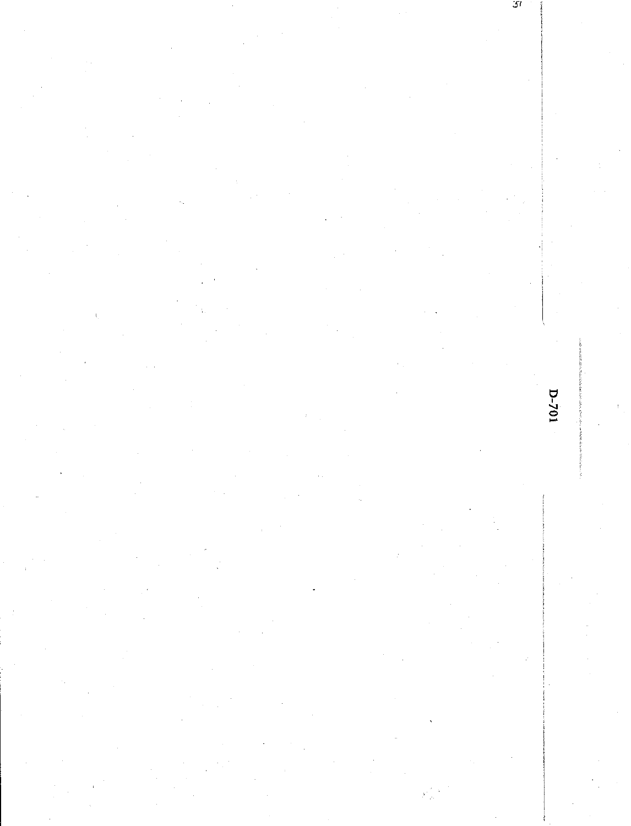51

 $D-701$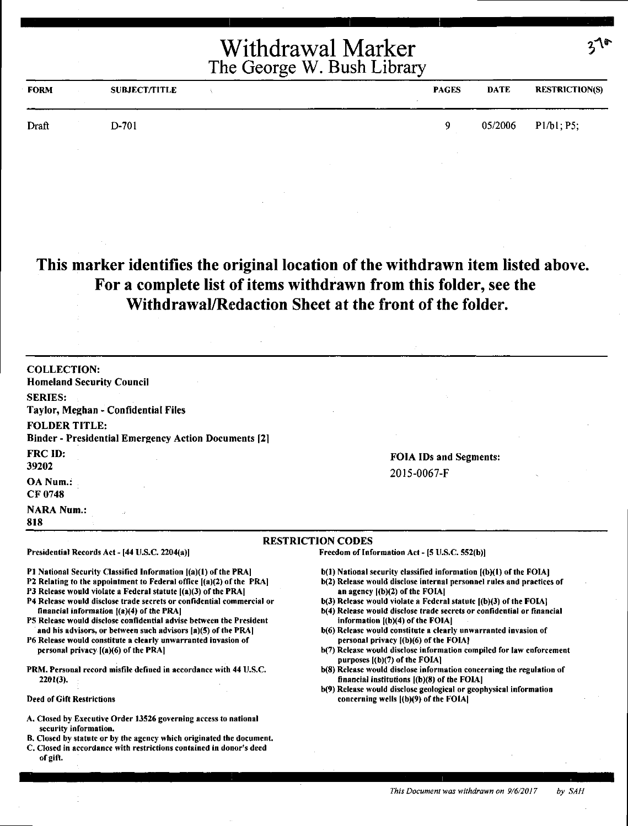| <b>FORM</b> | SUBJECT/TITLE | <b>PAGES</b> | <b>DATE</b> | <b>RESTRICTION(S)</b> |
|-------------|---------------|--------------|-------------|-----------------------|
| Draft       | D-701         | o            | 05/2006     | P1/b1, P5;            |

#### **This marker identifies the original location of the withdrawn item listed above. For a complete list of items withdrawn from this folder, see the Withdrawal/Redaction Sheet at the front of the folder.**

| <b>COLLECTION:</b><br><b>Homeland Security Council</b>                                                                                                                                                                                                                                                                                                                                                                                                                                                                                                                             |                                                                                                                                                                                                                                                                                                                                                                                                                                                                                                                                                                                             |  |
|------------------------------------------------------------------------------------------------------------------------------------------------------------------------------------------------------------------------------------------------------------------------------------------------------------------------------------------------------------------------------------------------------------------------------------------------------------------------------------------------------------------------------------------------------------------------------------|---------------------------------------------------------------------------------------------------------------------------------------------------------------------------------------------------------------------------------------------------------------------------------------------------------------------------------------------------------------------------------------------------------------------------------------------------------------------------------------------------------------------------------------------------------------------------------------------|--|
| <b>SERIES:</b><br>Taylor, Meghan - Confidential Files                                                                                                                                                                                                                                                                                                                                                                                                                                                                                                                              |                                                                                                                                                                                                                                                                                                                                                                                                                                                                                                                                                                                             |  |
| <b>FOLDER TITLE:</b><br><b>Binder - Presidential Emergency Action Documents [2]</b>                                                                                                                                                                                                                                                                                                                                                                                                                                                                                                |                                                                                                                                                                                                                                                                                                                                                                                                                                                                                                                                                                                             |  |
| FRC ID:<br>39202                                                                                                                                                                                                                                                                                                                                                                                                                                                                                                                                                                   | <b>FOIA IDs and Segments:</b>                                                                                                                                                                                                                                                                                                                                                                                                                                                                                                                                                               |  |
| OA Num.:<br>CF 0748                                                                                                                                                                                                                                                                                                                                                                                                                                                                                                                                                                | 2015-0067-F                                                                                                                                                                                                                                                                                                                                                                                                                                                                                                                                                                                 |  |
| <b>NARA Num.:</b><br>818                                                                                                                                                                                                                                                                                                                                                                                                                                                                                                                                                           |                                                                                                                                                                                                                                                                                                                                                                                                                                                                                                                                                                                             |  |
|                                                                                                                                                                                                                                                                                                                                                                                                                                                                                                                                                                                    | <b>RESTRICTION CODES</b>                                                                                                                                                                                                                                                                                                                                                                                                                                                                                                                                                                    |  |
| Presidential Records Act - [44 U.S.C. 2204(a)]                                                                                                                                                                                                                                                                                                                                                                                                                                                                                                                                     | Freedom of Information Act - [5 U.S.C. 552(b)]                                                                                                                                                                                                                                                                                                                                                                                                                                                                                                                                              |  |
| P1 National Security Classified Information [(a)(1) of the PRA]<br>P2 Relating to the appointment to Federal office [(a)(2) of the PRA]<br>P3 Release would violate a Federal statute ((a)(3) of the PRA]<br>P4 Release would disclose trade secrets or confidential commercial or<br>financial information $[(a)(4)$ of the PRA]<br>P5 Release would disclose confidential advise between the President<br>and his advisors, or between such advisors [a](5) of the PRA]<br>P6 Release would constitute a clearly unwarranted invasion of<br>personal privacy ((a)(6) of the PRA] | b(1) National security classified information [(b)(1) of the FOIA]<br>b(2) Release would disclose internal personnel rules and practices of<br>an agency ((b)(2) of the FOIA]<br>$b(3)$ Release would violate a Federal statute $(a)(3)$ of the FOIA.<br>b(4) Release would disclose trade secrets or confidential or financial<br>information $[(b)(4)$ of the FOIA]<br>b(6) Release would constitute a clearly unwarranted invasion of<br>personal privacy ((b)(6) of the FOIA!<br>b(7) Release would disclose information compiled for law enforcement<br>purposes $(6)(7)$ of the FOIA] |  |
| PRM. Personal record misfile defined in accordance with 44 U.S.C.<br>$2201(3)$ .                                                                                                                                                                                                                                                                                                                                                                                                                                                                                                   | b(8) Release would disclose information concerning the regulation of<br>financial institutions $[(b)(8)$ of the FOIA]                                                                                                                                                                                                                                                                                                                                                                                                                                                                       |  |
| <b>Deed of Gift Restrictions</b>                                                                                                                                                                                                                                                                                                                                                                                                                                                                                                                                                   | b(9) Release would disclose geological or geophysical information<br>concerning wells ((b)(9) of the FOIA]                                                                                                                                                                                                                                                                                                                                                                                                                                                                                  |  |

- A. Closed by Executive Order 13526 governing access to national security information.
- B. Closed by statute or by the agency which originated the document. C. Closed in accordance with restrictions contained in donor's deed
- of gift.

*This Document was withdrawn on 9/6/2017* by SAH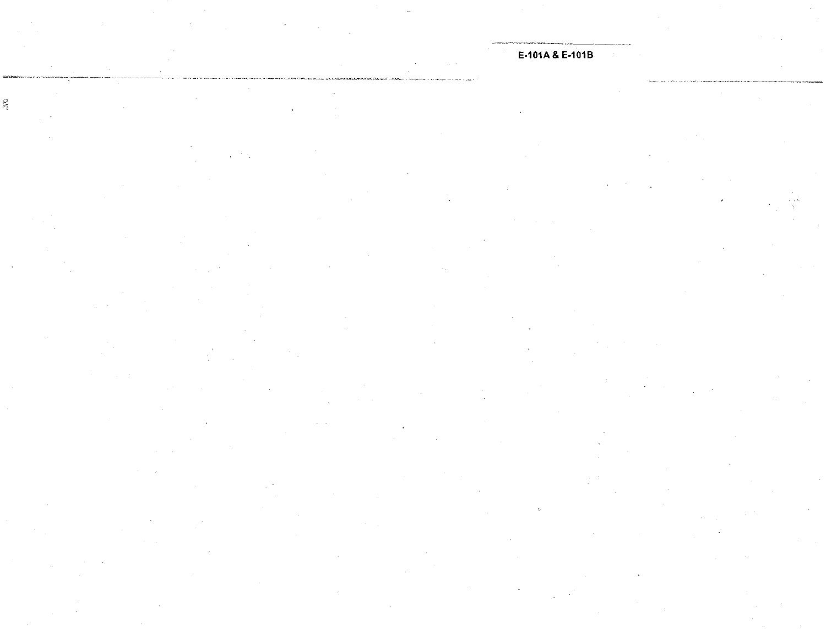#### E-101A & E-101B

 $\mathcal{L}_{\mathcal{L}}$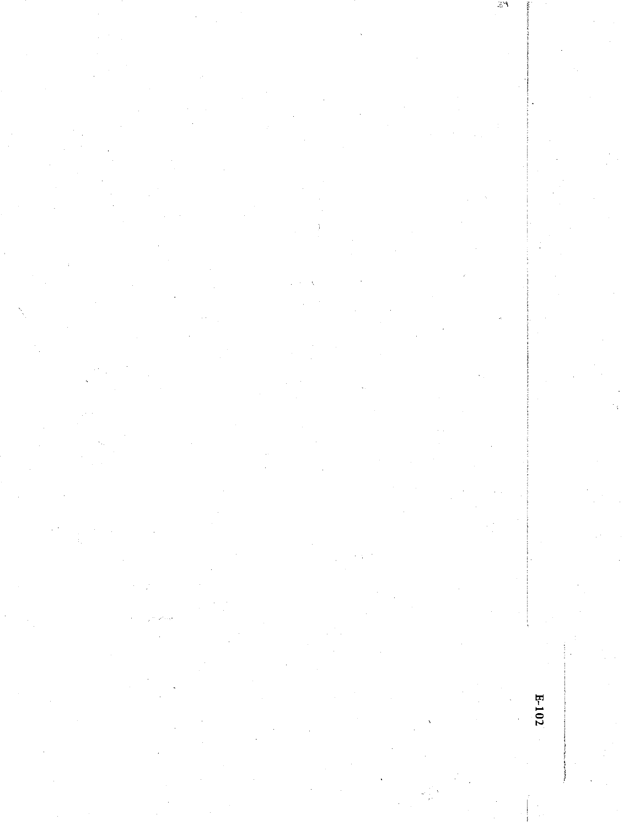$\omega_{\rm sf}$ 

# $E-102$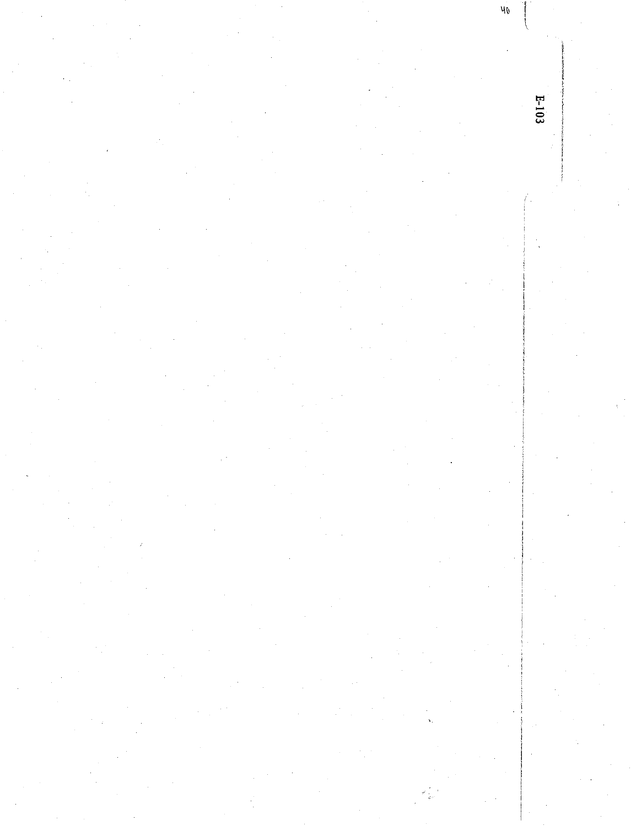$40^{\circ}$  $E-103$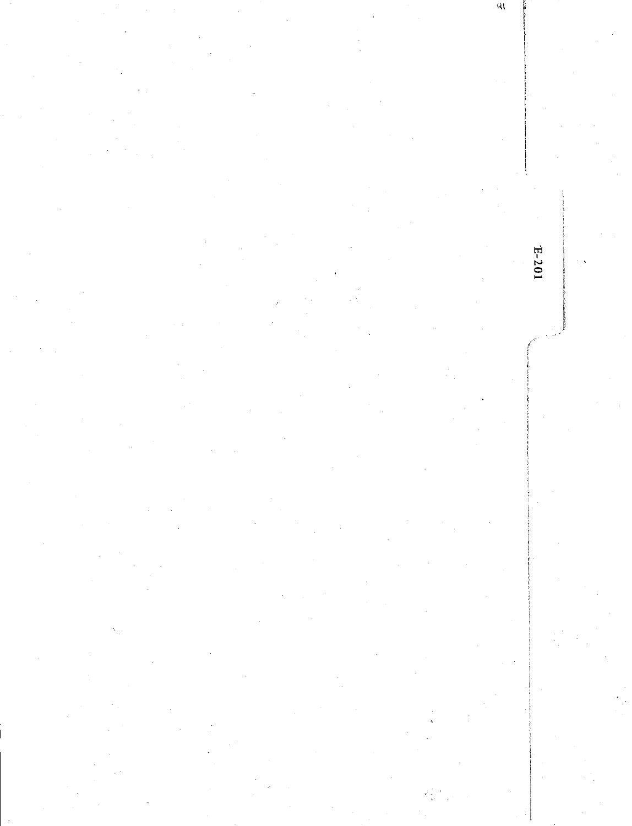$\mathcal{A}$  $E-201$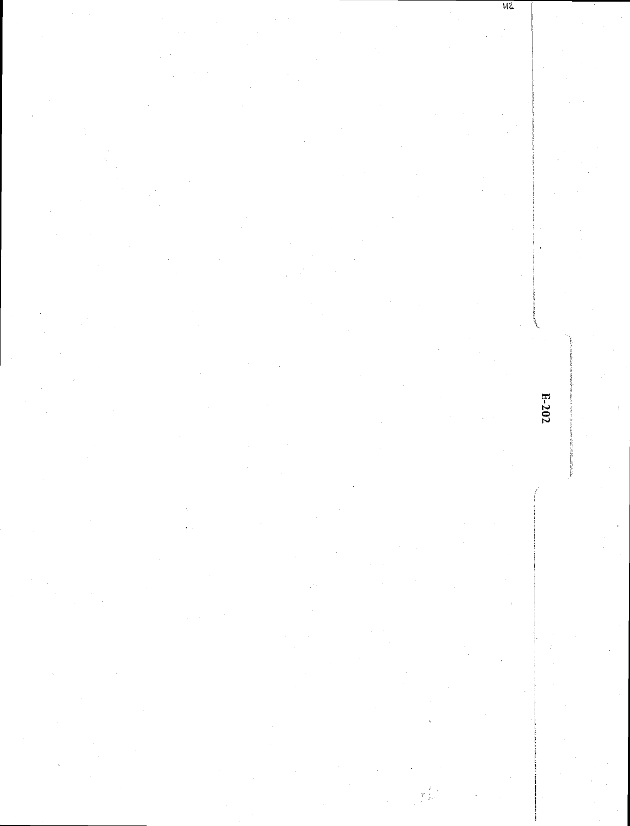$E - 202$ 

 $\sqrt{2}$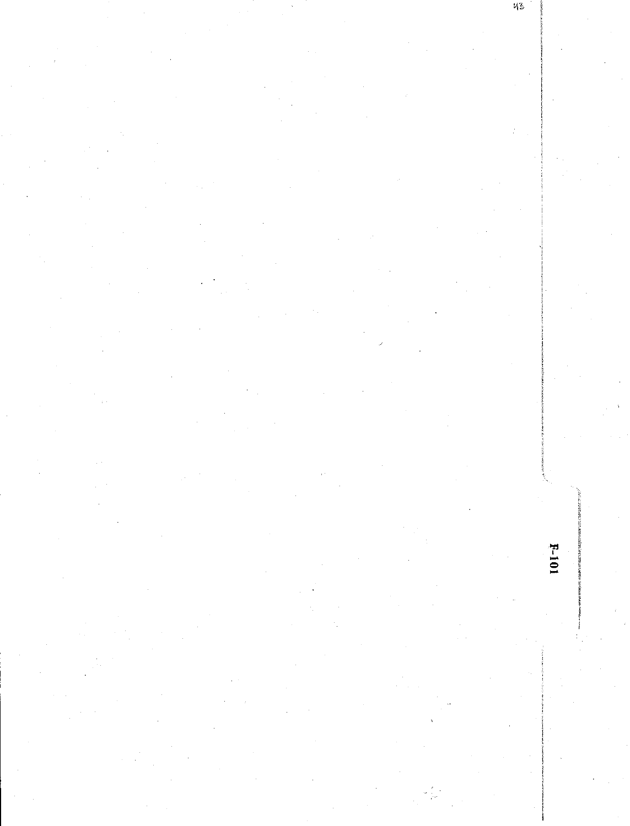$F-101$ 

 $\mathfrak{n}_2$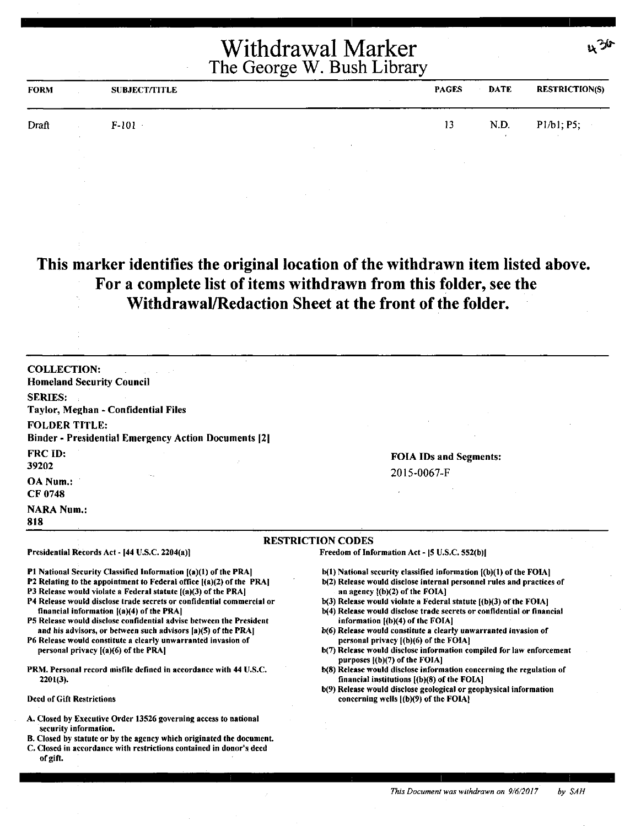| <b>FORM</b> | <b>SUBJECT/TITLE</b> | <b>PAGES</b> | <b>DATE</b> | <b>RESTRICTION(S)</b>        |
|-------------|----------------------|--------------|-------------|------------------------------|
| Draft       | $F-101$              | 13           | N.D.        | P1/b1, P5;<br><b>Service</b> |
|             |                      |              |             |                              |

#### **This marker identifies the original location of the withdrawn item listed above. For a complete list of items withdrawn from this folder, see the Withdrawal/Redaction Sheet at the front of the folder.**

COLLECTION: Homeland Security Council SERIES: Taylor, Meghan - Confidential Files FOLDER TITLE: Binder• Presidential Emergency Action Documents 121 FRCID: 39202 OA Num.: CF0748 **NARA Num.: 818** 

Presidential Records Act - (44 U.S.C. 2204(a)]

financial information ((a)(4) of the PRA)

personal privacy ((a)(6) of the PRA)

2201(3).

Deed of Gift Restrictions

#### FOIA IDs and Segments: 2015-0067-F

いづか

#### RESTRICTION CODES

Freedom of Information Act - [5 U.S.C. 552(b)]

- b(l) National security classified information ((b)(l) of the FOIA)
- b(2) Release would disclose internal personnel rules and practices of an agency l(b)(2) of the FOIA]
- b(3) Release would violate a Federal statute ((b)(3) of the FOIA]
- b(4) Release would disclose trade secrets or confidential or financial information ((b)(4) of the FOIA]
- b(6) Release would constitute a clearly unwarranted invasion of personal privacy [(b)(6) of the FOIA]
- b(7) Release would disclose information compiled for law enforcement purposes ((b)(7) of the FOIA]
- b(S) Release would disclose information concerning the regulation of financial institutions l(b)(S) of the FOIA)
- b(9) Release would disclose geological or geophysical information concerning wells  $[(b)(9)$  of the FOIA $]$

#### A. Closed by Executive Order 13S26 governing access to national security information.

Pl National Security Classified Information ((a)(l) of the PRAJ P2 Relating to the appointment to Federal office [(a)(2) of the PRA) P3 Release would violate a Federal statute [(a)(3) of the PRA] P4 Release would disclose trade secrets or confidential commercial or

PS Release would disclose confidential advise between the President and his advisors, or between such advisors [a)(5) of the PRA] P6 Release would constitute a clearly unwarranted invasion of

PRM. Personal record misfile defined in accordance with 44 U.S.C.

- B. Closed by statute or by the agency which originated the document.
- C. Closed in accordance with restrictions contained in donor's deed of gift.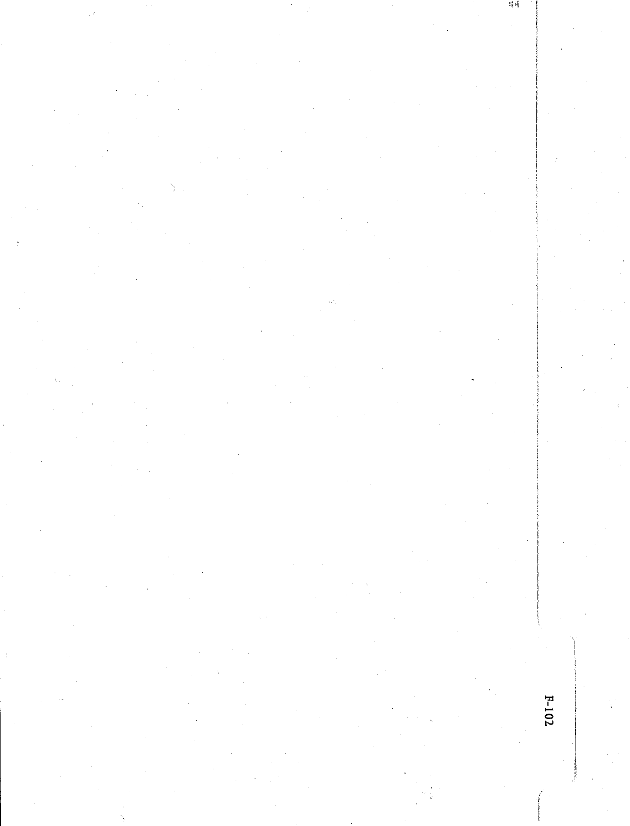$F-102$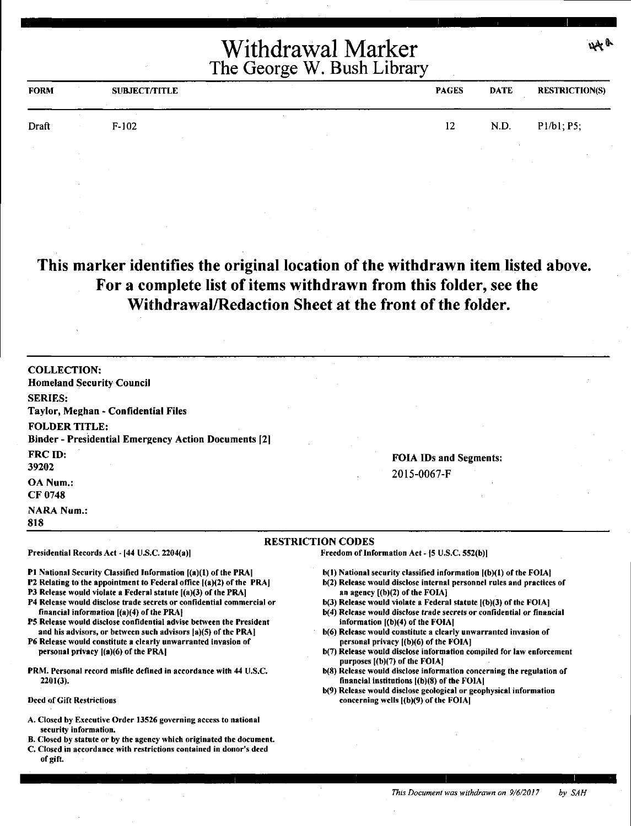| <b>FORM</b> | <b>SUBJECT/TITLE</b> | <b>PAGES</b> | <b>DATE</b> | <b>RESTRICTION(S)</b> |
|-------------|----------------------|--------------|-------------|-----------------------|
| Draft       | $F-102$              | 12           | N.D.        | P1/b1; P5;            |
|             |                      |              |             |                       |

**This marker identifies the original location of the withdrawn item listed above. For a complete list of items withdrawn from this folder, see the Withdrawal/Redaction Sheet at the front of the folder.** 

| <b>COLLECTION:</b><br><b>Homeland Security Council</b><br><b>SERIES:</b><br>Taylor, Meghan - Confidential Files<br><b>FOLDER TITLE:</b>                                                                                                                                                                                                                                                                                                                                                                                                                                                             |                                                                                                                                                                                                                                                                                                                                                                                                                                                                                                                                                                                               |  |  |  |
|-----------------------------------------------------------------------------------------------------------------------------------------------------------------------------------------------------------------------------------------------------------------------------------------------------------------------------------------------------------------------------------------------------------------------------------------------------------------------------------------------------------------------------------------------------------------------------------------------------|-----------------------------------------------------------------------------------------------------------------------------------------------------------------------------------------------------------------------------------------------------------------------------------------------------------------------------------------------------------------------------------------------------------------------------------------------------------------------------------------------------------------------------------------------------------------------------------------------|--|--|--|
| <b>Binder - Presidential Emergency Action Documents [2]</b>                                                                                                                                                                                                                                                                                                                                                                                                                                                                                                                                         |                                                                                                                                                                                                                                                                                                                                                                                                                                                                                                                                                                                               |  |  |  |
| FRC ID:<br>39202<br>OA Num.:                                                                                                                                                                                                                                                                                                                                                                                                                                                                                                                                                                        | <b>FOIA IDs and Segments:</b><br>2015-0067-F                                                                                                                                                                                                                                                                                                                                                                                                                                                                                                                                                  |  |  |  |
| CF 0748                                                                                                                                                                                                                                                                                                                                                                                                                                                                                                                                                                                             |                                                                                                                                                                                                                                                                                                                                                                                                                                                                                                                                                                                               |  |  |  |
| <b>NARA Num.:</b><br>818                                                                                                                                                                                                                                                                                                                                                                                                                                                                                                                                                                            |                                                                                                                                                                                                                                                                                                                                                                                                                                                                                                                                                                                               |  |  |  |
|                                                                                                                                                                                                                                                                                                                                                                                                                                                                                                                                                                                                     | <b>RESTRICTION CODES</b>                                                                                                                                                                                                                                                                                                                                                                                                                                                                                                                                                                      |  |  |  |
| Presidential Records Act - [44 U.S.C. 2204(a)]                                                                                                                                                                                                                                                                                                                                                                                                                                                                                                                                                      | Freedom of Information Act - [5 U.S.C. 552(b)]                                                                                                                                                                                                                                                                                                                                                                                                                                                                                                                                                |  |  |  |
| <b>P1 National Security Classified Information [(a)(1) of the PRA]</b><br><b>P2</b> Relating to the appointment to Federal office [(a)(2) of the PRA]<br>P3 Release would violate a Federal statute [(a)(3) of the PRA]<br>P4 Release would disclose trade secrets or confidential commercial or<br>financial information $[(a)(4)$ of the PRA $]$<br>P5 Release would disclose confidential advise between the President<br>and his advisors, or between such advisors [a)(5) of the PRA]<br>P6 Release would constitute a clearly unwarranted invasion of<br>personal privacy [(a)(6) of the PRA] | b(1) National security classified information [(b)(1) of the FOIA]<br>b(2) Release would disclose internal personnel rules and practices of<br>an agency $[(b)(2)$ of the FOIA]<br>$b(3)$ Release would violate a Federal statute $[(b)(3)$ of the FOIA]<br>b(4) Release would disclose trade secrets or confidential or financial<br>information $[(b)(4)$ of the FOIA]<br>b(6) Release would constitute a clearly unwarranted invasion of<br>personal privacy ((b)(6) of the FOIA]<br>b(7) Release would disclose information compiled for law enforcement<br>purposes [(b)(7) of the FOIA] |  |  |  |
| PRM. Personal record misfile defined in accordance with 44 U.S.C.<br>$2201(3)$ .                                                                                                                                                                                                                                                                                                                                                                                                                                                                                                                    | b(8) Release would disclose information concerning the regulation of<br>financial institutions $[(b)(8)$ of the FOIA]<br>b(9) Release would disclose geological or geophysical information                                                                                                                                                                                                                                                                                                                                                                                                    |  |  |  |
| <b>Deed of Gift Restrictions</b>                                                                                                                                                                                                                                                                                                                                                                                                                                                                                                                                                                    | concerning wells [(b)(9) of the FOIA]                                                                                                                                                                                                                                                                                                                                                                                                                                                                                                                                                         |  |  |  |
| A. Closed by Executive Order 13526 governing access to national<br>security information.<br>B. Closed by statute or by the agency which originated the document.<br>C. Closed in accordance with restrictions contained in donor's deed<br>of gift.                                                                                                                                                                                                                                                                                                                                                 |                                                                                                                                                                                                                                                                                                                                                                                                                                                                                                                                                                                               |  |  |  |

44 a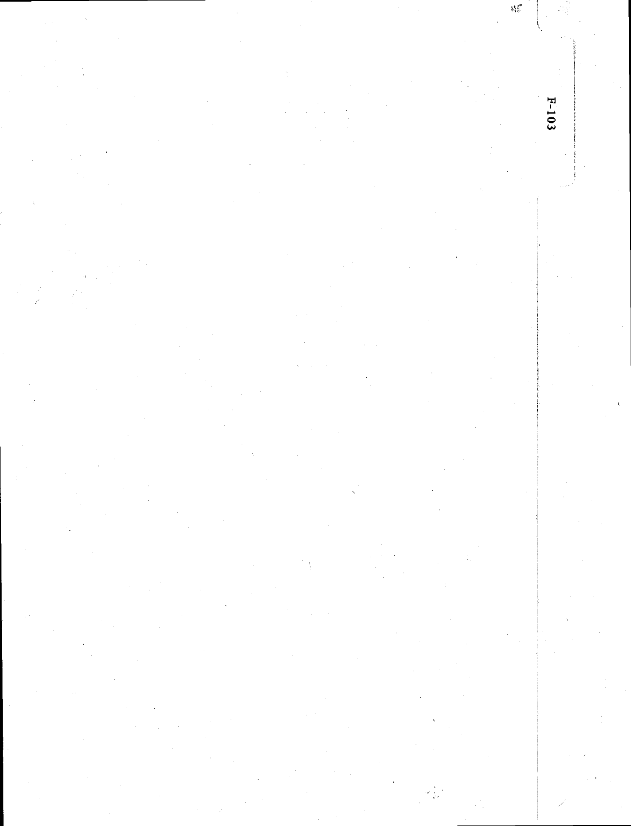V.  $F-103$